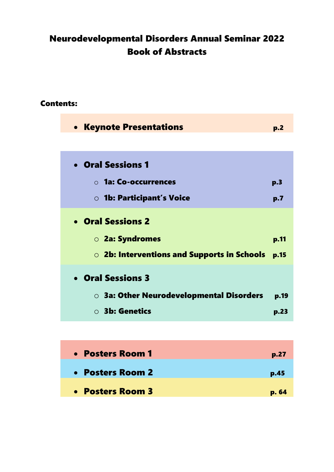# Neurodevelopmental Disorders Annual Seminar 2022 Book of Abstracts

## Contents:

| <b>• Keynote Presentations</b>                 | p.2  |
|------------------------------------------------|------|
|                                                |      |
| • Oral Sessions 1                              |      |
| $\circ$ 1a: Co-occurrences                     | p.3  |
| <b>O</b> 1b: Participant's Voice               | p.7  |
| • Oral Sessions 2                              |      |
| ○ 2a: Syndromes                                | p.11 |
| O 2b: Interventions and Supports in Schools    | p.15 |
| • Oral Sessions 3                              |      |
| $\circ$ 3a: Other Neurodevelopmental Disorders | p.19 |
| $\circ$ 3b: Genetics                           | p.23 |
|                                                |      |

| • Posters Room 1 | p.27  |
|------------------|-------|
| • Posters Room 2 | p.45  |
| • Posters Room 3 | p. 64 |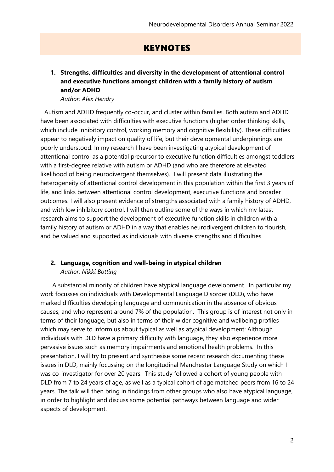# **KEYNOTES**

## **1. Strengths, difficulties and diversity in the development of attentional control and executive functions amongst children with a family history of autism and/or ADHD**

#### *Author: Alex Hendry*

Autism and ADHD frequently co-occur, and cluster within families. Both autism and ADHD have been associated with difficulties with executive functions (higher order thinking skills, which include inhibitory control, working memory and cognitive flexibility). These difficulties appear to negatively impact on quality of life, but their developmental underpinnings are poorly understood. In my research I have been investigating atypical development of attentional control as a potential precursor to executive function difficulties amongst toddlers with a first-degree relative with autism or ADHD (and who are therefore at elevated likelihood of being neurodivergent themselves). I will present data illustrating the heterogeneity of attentional control development in this population within the first 3 years of life, and links between attentional control development, executive functions and broader outcomes. I will also present evidence of strengths associated with a family history of ADHD, and with low inhibitory control. I will then outline some of the ways in which my latest research aims to support the development of executive function skills in children with a family history of autism or ADHD in a way that enables neurodivergent children to flourish, and be valued and supported as individuals with diverse strengths and difficulties.

#### **2. Language, cognition and well-being in atypical children** *Author: Nikki Botting*

A substantial minority of children have atypical language development. In particular my work focusses on individuals with Developmental Language Disorder (DLD), who have marked difficulties developing language and communication in the absence of obvious causes, and who represent around 7% of the population. This group is of interest not only in terms of their language, but also in terms of their wider cognitive and wellbeing profiles which may serve to inform us about typical as well as atypical development: Although individuals with DLD have a primary difficulty with language, they also experience more pervasive issues such as memory impairments and emotional health problems. In this presentation, I will try to present and synthesise some recent research documenting these issues in DLD, mainly focussing on the longitudinal Manchester Language Study on which I was co-investigator for over 20 years. This study followed a cohort of young people with DLD from 7 to 24 years of age, as well as a typical cohort of age matched peers from 16 to 24 years. The talk will then bring in findings from other groups who also have atypical language, in order to highlight and discuss some potential pathways between language and wider aspects of development.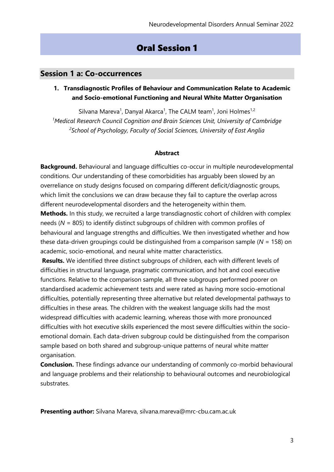# Oral Session 1

## **Session 1 a: Co-occurrences**

### **1. Transdiagnostic Profiles of Behaviour and Communication Relate to Academic and Socio-emotional Functioning and Neural White Matter Organisation**

Silvana Mareva<sup>1</sup>, Danyal Akarca<sup>1</sup>, The CALM team<sup>1</sup>, Joni Holmes<sup>1,2</sup> *<sup>1</sup>Medical Research Council Cognition and Brain Sciences Unit, University of Cambridge 2 School of Psychology, Faculty of Social Sciences, University of East Anglia*

#### **Abstract**

**Background.** Behavioural and language difficulties co-occur in multiple neurodevelopmental conditions. Our understanding of these comorbidities has arguably been slowed by an overreliance on study designs focused on comparing different deficit/diagnostic groups, which limit the conclusions we can draw because they fail to capture the overlap across different neurodevelopmental disorders and the heterogeneity within them.

**Methods.** In this study, we recruited a large transdiagnostic cohort of children with complex needs (*N* = 805) to identify distinct subgroups of children with common profiles of behavioural and language strengths and difficulties. We then investigated whether and how these data-driven groupings could be distinguished from a comparison sample (*N* = 158) on academic, socio-emotional, and neural white matter characteristics.

**Results.** We identified three distinct subgroups of children, each with different levels of difficulties in structural language, pragmatic communication, and hot and cool executive functions. Relative to the comparison sample, all three subgroups performed poorer on standardised academic achievement tests and were rated as having more socio-emotional difficulties, potentially representing three alternative but related developmental pathways to difficulties in these areas. The children with the weakest language skills had the most widespread difficulties with academic learning, whereas those with more pronounced difficulties with hot executive skills experienced the most severe difficulties within the socioemotional domain. Each data-driven subgroup could be distinguished from the comparison sample based on both shared and subgroup-unique patterns of neural white matter organisation.

**Conclusion.** These findings advance our understanding of commonly co-morbid behavioural and language problems and their relationship to behavioural outcomes and neurobiological substrates.

**Presenting author:** Silvana Mareva, silvana.mareva@mrc-cbu.cam.ac.uk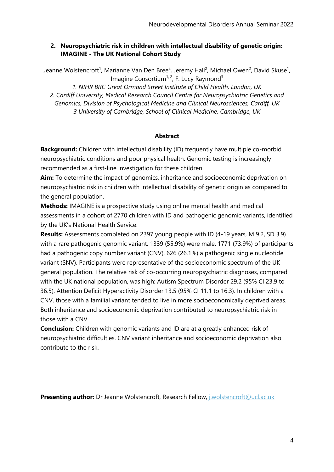## **2. Neuropsychiatric risk in children with intellectual disability of genetic origin: IMAGINE - The UK National Cohort Study**

Jeanne Wolstencroft<sup>1</sup>, Marianne Van Den Bree<sup>2</sup>, Jeremy Hall<sup>2</sup>, Michael Owen<sup>2</sup>, David Skuse<sup>1</sup>, Imagine Consortium<sup>1, 2</sup>, F. Lucy Raymond<sup>3</sup>

*1. NIHR BRC Great Ormond Street Institute of Child Health, London, UK 2. Cardiff University, Medical Research Council Centre for Neuropsychiatric Genetics and Genomics, Division of Psychological Medicine and Clinical Neurosciences, Cardiff, UK 3 University of Cambridge, School of Clinical Medicine, Cambridge, UK*

## **Abstract**

**Background:** Children with intellectual disability (ID) frequently have multiple co-morbid neuropsychiatric conditions and poor physical health. Genomic testing is increasingly recommended as a first-line investigation for these children.

**Aim:** To determine the impact of genomics, inheritance and socioeconomic deprivation on neuropsychiatric risk in children with intellectual disability of genetic origin as compared to the general population.

**Methods:** IMAGINE is a prospective study using online mental health and medical assessments in a cohort of 2770 children with ID and pathogenic genomic variants, identified by the UK's National Health Service.

**Results:** Assessments completed on 2397 young people with ID (4-19 years, M 9.2, SD 3.9) with a rare pathogenic genomic variant. 1339 (55.9%) were male. 1771 (73.9%) of participants had a pathogenic copy number variant (CNV), 626 (26.1%) a pathogenic single nucleotide variant (SNV). Participants were representative of the socioeconomic spectrum of the UK general population. The relative risk of co-occurring neuropsychiatric diagnoses, compared with the UK national population, was high: Autism Spectrum Disorder 29.2 (95% CI 23.9 to 36.5), Attention Deficit Hyperactivity Disorder 13.5 (95% CI 11.1 to 16.3). In children with a CNV, those with a familial variant tended to live in more socioeconomically deprived areas. Both inheritance and socioeconomic deprivation contributed to neuropsychiatric risk in those with a CNV.

**Conclusion:** Children with genomic variants and ID are at a greatly enhanced risk of neuropsychiatric difficulties. CNV variant inheritance and socioeconomic deprivation also contribute to the risk.

**Presenting author:** Dr Jeanne Wolstencroft, Research Fellow, [j.wolstencroft@ucl.ac.uk](mailto:j.wolstencroft@ucl.ac.uk)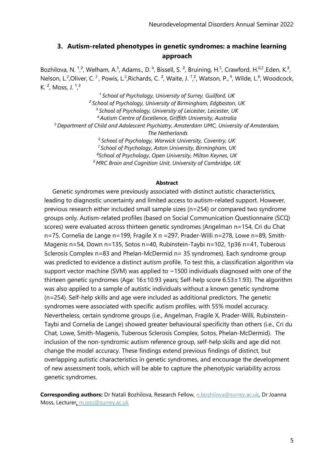## **3. Autism-related phenotypes in genetic syndromes: a machine learning approach**

Bozhilova, N. <sup>1</sup>,<sup>2</sup>, Welham, A.<sup>3</sup>, Adams., D.<sup>4</sup>, Bissell, S.<sup>2</sup>, Bruining, H.<sup>5</sup>, Crawford, H.<sup>6,2</sup>, Eden, K.<sup>2</sup>, Nelson, L.<sup>2</sup>, Oliver, C.<sup>2</sup>, Powis, L.<sup>2</sup>, Richards, C.<sup>2</sup>, Waite, J.<sup>7</sup>, 2, Watson, P., <sup>9</sup>, Wilde, L.<sup>8</sup>, Woodcock, K.<sup>2</sup>, Moss, J.<sup>1</sup>,<sup>2</sup>

*¹ School of Psychology, University of Surrey, Guilford, UK ² School of Psychology, University of Birmingham, Edgbaston, UK ³ School of Psychology, University of Leicester, Leicester, UK <sup>4</sup>Autism Centre of Excellence, Griffith University, Australia <sup>5</sup>Department of Child and Adolescent Psychiatry, Amsterdam UMC, University of Amsterdam, The Netherlands <sup>6</sup>School of Psychology, Warwick University, Coventry, UK <sup>7</sup>School of Psychology, Aston University, Birmingham, UK <sup>8</sup>School of Psychology, Open University, Milton Keynes, UK <sup>9</sup>MRC Brain and Cognition Unit, University of Cambridge, UK*

#### **Abstract**

Genetic syndromes were previously associated with distinct autistic characteristics, leading to diagnostic uncertainty and limited access to autism-related support. However, previous research either included small sample sizes (n=254) or compared two syndrome groups only. Autism-related profiles (based on Social Communication Questionnaire (SCQ) scores) were evaluated across thirteen genetic syndromes (Angelman n=154, Cri du Chat n=75, Cornelia de Lange n=199, Fragile X n =297, Prader-Willi n=278, Lowe n=89, Smith-Magenis n=54, Down n=135, Sotos n=40, Rubinstein-Taybi n=102, 1p36 n=41, Tuberous Sclerosis Complex n=83 and Phelan-McDermid n= 35 syndromes). Each syndrome group was predicted to evidence a distinct autism profile. To test this, a classification algorithm via support vector machine (SVM) was applied to  $\sim$ 1500 individuals diagnosed with one of the thirteen genetic syndromes (Age: 16±10.93 years; Self-help score 6.53±1.93). The algorithm was also applied to a sample of autistic individuals without a known genetic syndrome (n=254). Self-help skills and age were included as additional predictors. The genetic syndromes were associated with specific autism profiles, with 55% model accuracy. Nevertheless, certain syndrome groups (i.e., Angelman, Fragile X, Prader-Willi, Rubinstein-Taybi and Cornelia de Lange) showed greater behavioural specificity than others (i.e., Cri du Chat, Lowe, Smith-Magenis, Tuberous Sclerosis Complex, Sotos, Phelan-McDermid). The inclusion of the non-syndromic autism reference group, self-help skills and age did not change the model accuracy. These findings extend previous findings of distinct, but overlapping autistic characteristics in genetic syndromes, and encourage the development of new assessment tools, which will be able to capture the phenotypic variability across genetic syndromes.

**Corresponding authors:** Dr Natali Bozhilova, Research Fellow, [n.bozhilova@surrey.ac.uk,](mailto:n.bozhilova@surrey.ac.uk) Dr Joanna Moss, Lecturer, [m.joss@surrey.ac.uk](mailto:m.joss@surrey.ac.uk)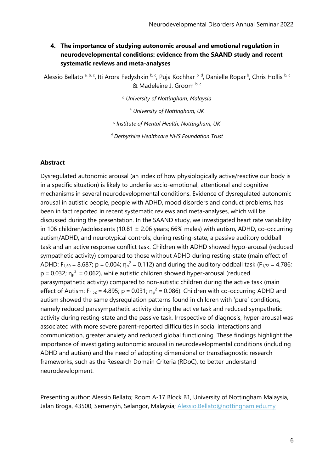## **4. The importance of studying autonomic arousal and emotional regulation in neurodevelopmental conditions: evidence from the SAAND study and recent systematic reviews and meta-analyses**

Alessio Bellato <sup>a, b, c</sup>, Iti Arora Fedyshkin <sup>b, c</sup>, Puja Kochhar <sup>b, d</sup>, Danielle Ropar <sup>b</sup>, Chris Hollis <sup>b, c</sup> & Madeleine J. Groom b, c

*<sup>a</sup> University of Nottingham, Malaysia*

*<sup>b</sup> University of Nottingham, UK*

*c Institute of Mental Health, Nottingham, UK*

*<sup>d</sup> Derbyshire Healthcare NHS Foundation Trust*

#### **Abstract**

Dysregulated autonomic arousal (an index of how physiologically active/reactive our body is in a specific situation) is likely to underlie socio-emotional, attentional and cognitive mechanisms in several neurodevelopmental conditions. Evidence of dysregulated autonomic arousal in autistic people, people with ADHD, mood disorders and conduct problems, has been in fact reported in recent systematic reviews and meta-analyses, which will be discussed during the presentation. In the SAAND study, we investigated heart rate variability in 106 children/adolescents (10.81  $\pm$  2.06 years; 66% males) with autism, ADHD, co-occurring autism/ADHD, and neurotypical controls; during resting-state, a passive auditory oddball task and an active response conflict task. Children with ADHD showed hypo-arousal (reduced sympathetic activity) compared to those without ADHD during resting-state (main effect of ADHD:  $F_{1,69} = 8.687$ ; p = 0.004;  $\eta_p^2 = 0.112$ ) and during the auditory oddball task ( $F_{1,72} = 4.786$ ;  $p = 0.032$ ;  $\eta_p^2 = 0.062$ ), while autistic children showed hyper-arousal (reduced parasympathetic activity) compared to non-autistic children during the active task (main effect of Autism:  $F_{1,52} = 4.895$ ; p = 0.031;  $\eta_p^2 = 0.086$ ). Children with co-occurring ADHD and autism showed the same dysregulation patterns found in children with 'pure' conditions, namely reduced parasympathetic activity during the active task and reduced sympathetic activity during resting-state and the passive task. Irrespective of diagnosis, hyper-arousal was associated with more severe parent-reported difficulties in social interactions and communication, greater anxiety and reduced global functioning. These findings highlight the importance of investigating autonomic arousal in neurodevelopmental conditions (including ADHD and autism) and the need of adopting dimensional or transdiagnostic research frameworks, such as the Research Domain Criteria (RDoC), to better understand neurodevelopment.

Presenting author: Alessio Bellato; Room A-17 Block B1, University of Nottingham Malaysia, Jalan Broga, 43500, Semenyih, Selangor, Malaysia; [Alessio.Bellato@nottingham.edu.my](mailto:Alessio.Bellato@nottingham.edu.my)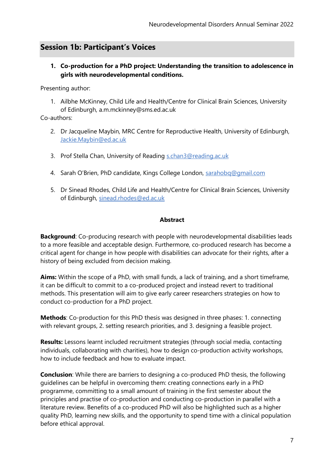# **Session 1b: Participant's Voices**

## **1. Co-production for a PhD project: Understanding the transition to adolescence in girls with neurodevelopmental conditions.**

Presenting author:

1. Ailbhe McKinney, Child Life and Health/Centre for Clinical Brain Sciences, University of Edinburgh, a.m.mckinney@sms.ed.ac.uk

Co-authors:

- 2. Dr Jacqueline Maybin, MRC Centre for Reproductive Health, University of Edinburgh, [Jackie.Maybin@ed.ac.uk](mailto:Jackie.Maybin@ed.ac.uk)
- 3. Prof Stella Chan, University of Reading [s.chan3@reading.ac.uk](mailto:s.chan3@reading.ac.uk)
- 4. Sarah O'Brien, PhD candidate, Kings College London, [sarahobq@gmail.com](mailto:sarahobq@gmail.com)
- 5. Dr Sinead Rhodes, Child Life and Health/Centre for Clinical Brain Sciences, University of Edinburgh, [sinead.rhodes@ed.ac.uk](mailto:sinead.rhodes@ed.ac.uk)

#### **Abstract**

**Background**: Co-producing research with people with neurodevelopmental disabilities leads to a more feasible and acceptable design. Furthermore, co-produced research has become a critical agent for change in how people with disabilities can advocate for their rights, after a history of being excluded from decision making.

**Aims:** Within the scope of a PhD, with small funds, a lack of training, and a short timeframe, it can be difficult to commit to a co-produced project and instead revert to traditional methods. This presentation will aim to give early career researchers strategies on how to conduct co-production for a PhD project.

**Methods**: Co-production for this PhD thesis was designed in three phases: 1. connecting with relevant groups, 2. setting research priorities, and 3. designing a feasible project.

**Results:** Lessons learnt included recruitment strategies (through social media, contacting individuals, collaborating with charities), how to design co-production activity workshops, how to include feedback and how to evaluate impact.

**Conclusion**: While there are barriers to designing a co-produced PhD thesis, the following guidelines can be helpful in overcoming them: creating connections early in a PhD programme, committing to a small amount of training in the first semester about the principles and practise of co-production and conducting co-production in parallel with a literature review. Benefits of a co-produced PhD will also be highlighted such as a higher quality PhD, learning new skills, and the opportunity to spend time with a clinical population before ethical approval.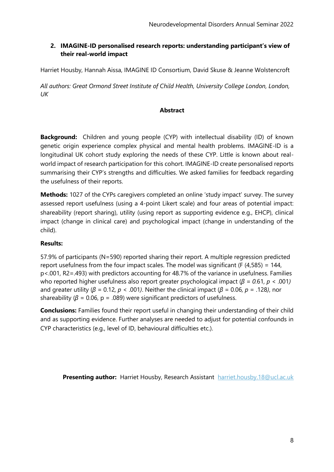## **2. IMAGINE-ID personalised research reports: understanding participant's view of their real-world impact**

Harriet Housby, Hannah Aissa, IMAGINE ID Consortium, David Skuse & Jeanne Wolstencroft

*All authors: Great Ormond Street Institute of Child Health, University College London, London, UK*

#### **Abstract**

**Background:** Children and young people (CYP) with intellectual disability (ID) of known genetic origin experience complex physical and mental health problems. IMAGINE-ID is a longitudinal UK cohort study exploring the needs of these CYP. Little is known about realworld impact of research participation for this cohort. IMAGINE-ID create personalised reports summarising their CYP's strengths and difficulties. We asked families for feedback regarding the usefulness of their reports.

**Methods:** 1027 of the CYPs caregivers completed an online 'study impact' survey. The survey assessed report usefulness (using a 4-point Likert scale) and four areas of potential impact: shareability (report sharing), utility (using report as supporting evidence e.g., EHCP), clinical impact (change in clinical care) and psychological impact (change in understanding of the child).

#### **Results:**

57.9% of participants (N=590) reported sharing their report. A multiple regression predicted report usefulness from the four impact scales. The model was significant (F  $(4,585) = 144$ , p<.001, R2=.493) with predictors accounting for 48.7% of the variance in usefulness. Families who reported higher usefulness also report greater psychological impact (*β = 0.*61*, p* < .001*)* and greater utility ( $\beta$  = 0.12,  $p$  < .001). Neither the clinical impact ( $\beta$  = 0.06,  $p$  = .128), nor shareability ( $\beta$  = 0.06, p = .089) were significant predictors of usefulness.

**Conclusions:** Families found their report useful in changing their understanding of their child and as supporting evidence. Further analyses are needed to adjust for potential confounds in CYP characteristics (e.g., level of ID, behavioural difficulties etc.).

**Presenting author:** Harriet Housby, Research Assistant [harriet.housby.18@ucl.ac.uk](mailto:harriet.housby.18@ucl.ac.uk)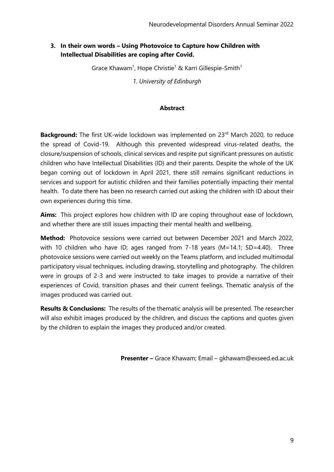## **3. In their own words – Using Photovoice to Capture how Children with Intellectual Disabilities are coping after Covid.**

Grace Khawam<sup>1</sup>, Hope Christie<sup>1</sup> & Karri Gillespie-Smith<sup>1</sup>

*1. University of Edinburgh*

#### **Abstract**

**Background:** The first UK-wide lockdown was implemented on 23<sup>rd</sup> March 2020, to reduce the spread of Covid-19. Although this prevented widespread virus-related deaths, the closure/suspension of schools, clinical services and respite put significant pressures on autistic children who have Intellectual Disabilities (ID) and their parents. Despite the whole of the UK began coming out of lockdown in April 2021, there still remains significant reductions in services and support for autistic children and their families potentially impacting their mental health. To date there has been no research carried out asking the children with ID about their own experiences during this time.

**Aims:** This project explores how children with ID are coping throughout ease of lockdown, and whether there are still issues impacting their mental health and wellbeing.

**Method:** Photovoice sessions were carried out between December 2021 and March 2022, with 10 children who have ID; ages ranged from 7-18 years (M=14.1; SD=4.40). Three photovoice sessions were carried out weekly on the Teams platform, and included multimodal participatory visual techniques, including drawing, storytelling and photography. The children were in groups of 2-3 and were instructed to take images to provide a narrative of their experiences of Covid, transition phases and their current feelings. Thematic analysis of the images produced was carried out.

**Results & Conclusions:** The results of the thematic analysis will be presented. The researcher will also exhibit images produced by the children, and discuss the captions and quotes given by the children to explain the images they produced and/or created.

**Presenter –** Grace Khawam; Email – gkhawam@exseed.ed.ac.uk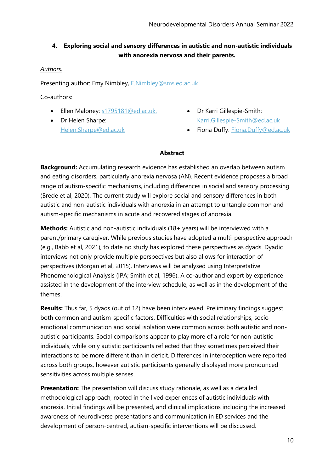## **4. Exploring social and sensory differences in autistic and non-autistic individuals with anorexia nervosa and their parents.**

## *Authors:*

Presenting author: Emy Nimbley, [E.Nimbley@sms.ed.ac.uk](mailto:E.Nimbley@sms.ed.ac.uk)

Co-authors:

- Ellen Maloney:  $s1795181@ed.ac.uk$ , Dr Karri Gillespie-Smith:
- Dr Helen Sharpe: [Helen.Sharpe@ed.ac.uk](mailto:Helen.Sharpe@ed.ac.uk)
- [Karri.Gillespie-Smith@ed.ac.uk](mailto:Karri.Gillespie-Smith@ed.ac.uk)
- Fiona Duffy: [Fiona.Duffy@ed.ac.uk](mailto:Fiona.Duffy@ed.ac.uk)

#### **Abstract**

**Background:** Accumulating research evidence has established an overlap between autism and eating disorders, particularly anorexia nervosa (AN). Recent evidence proposes a broad range of autism-specific mechanisms, including differences in social and sensory processing (Brede et al, 2020). The current study will explore social and sensory differences in both autistic and non-autistic individuals with anorexia in an attempt to untangle common and autism-specific mechanisms in acute and recovered stages of anorexia.

**Methods:** Autistic and non-autistic individuals (18+ years) will be interviewed with a parent/primary caregiver. While previous studies have adopted a multi-perspective approach (e.g., Babb et al, 2021), to date no study has explored these perspectives as dyads. Dyadic interviews not only provide multiple perspectives but also allows for interaction of perspectives (Morgan et al, 2015). Interviews will be analysed using Interpretative Phenomenological Analysis (IPA; Smith et al, 1996). A co-author and expert by experience assisted in the development of the interview schedule, as well as in the development of the themes.

**Results:** Thus far, 5 dyads (out of 12) have been interviewed. Preliminary findings suggest both common and autism-specific factors. Difficulties with social relationships, socioemotional communication and social isolation were common across both autistic and nonautistic participants. Social comparisons appear to play more of a role for non-autistic individuals, while only autistic participants reflected that they sometimes perceived their interactions to be more different than in deficit. Differences in interoception were reported across both groups, however autistic participants generally displayed more pronounced sensitivities across multiple senses.

**Presentation:** The presentation will discuss study rationale, as well as a detailed methodological approach, rooted in the lived experiences of autistic individuals with anorexia. Initial findings will be presented, and clinical implications including the increased awareness of neurodiverse presentations and communication in ED services and the development of person-centred, autism-specific interventions will be discussed.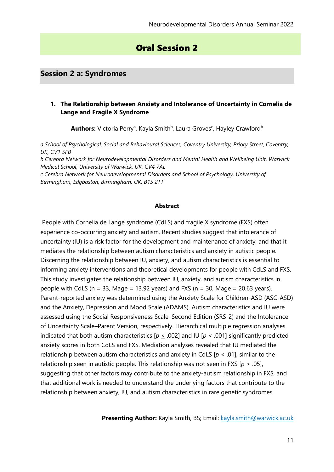# Oral Session 2

## **Session 2 a: Syndromes**

#### **1. The Relationship between Anxiety and Intolerance of Uncertainty in Cornelia de Lange and Fragile X Syndrome**

Authors: Victoria Perry<sup>a</sup>, Kayla Smith<sup>b</sup>, Laura Groves<sup>c</sup>, Hayley Crawford<sup>b</sup>

*a School of Psychological, Social and Behavioural Sciences, Coventry University, Priory Street, Coventry, UK, CV1 5FB*

*b Cerebra Network for Neurodevelopmental Disorders and Mental Health and Wellbeing Unit, Warwick Medical School, University of Warwick, UK, CV4 7AL*

*c Cerebra Network for Neurodevelopmental Disorders and School of Psychology, University of Birmingham, Edgbaston, Birmingham, UK, B15 2TT*

#### **Abstract**

People with Cornelia de Lange syndrome (CdLS) and fragile X syndrome (FXS) often experience co-occurring anxiety and autism. Recent studies suggest that intolerance of uncertainty (IU) is a risk factor for the development and maintenance of anxiety, and that it mediates the relationship between autism characteristics and anxiety in autistic people. Discerning the relationship between IU, anxiety, and autism characteristics is essential to informing anxiety interventions and theoretical developments for people with CdLS and FXS. This study investigates the relationship between IU, anxiety, and autism characteristics in people with CdLS ( $n = 33$ , Mage = 13.92 years) and FXS ( $n = 30$ , Mage = 20.63 years). Parent-reported anxiety was determined using the Anxiety Scale for Children-ASD (ASC-ASD) and the Anxiety, Depression and Mood Scale (ADAMS). Autism characteristics and IU were assessed using the Social Responsiveness Scale–Second Edition (SRS-2) and the Intolerance of Uncertainty Scale–Parent Version, respectively. Hierarchical multiple regression analyses indicated that both autism characteristics  $[p \leq .002]$  and IU  $[p \lt .001]$  significantly predicted anxiety scores in both CdLS and FXS. Mediation analyses revealed that IU mediated the relationship between autism characteristics and anxiety in CdLS [*p* < .01], similar to the relationship seen in autistic people. This relationship was not seen in FXS [*p* > .05], suggesting that other factors may contribute to the anxiety-autism relationship in FXS, and that additional work is needed to understand the underlying factors that contribute to the relationship between anxiety, IU, and autism characteristics in rare genetic syndromes.

**Presenting Author:** Kayla Smith, BS; Email: [kayla.smith@warwick.ac.uk](mailto:kayla.smith@warwick.ac.uk)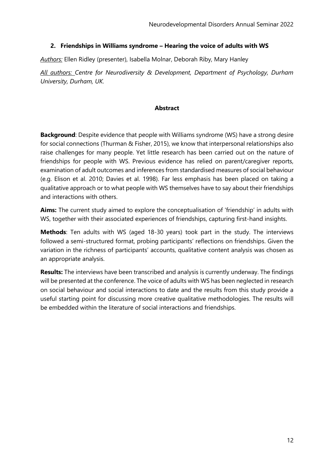#### **2. Friendships in Williams syndrome – Hearing the voice of adults with WS**

*Authors:* Ellen Ridley (presenter), Isabella Molnar, Deborah Riby, Mary Hanley

*All authors: Centre for Neurodiversity & Development, Department of Psychology, Durham University, Durham, UK.*

#### **Abstract**

**Background**: Despite evidence that people with Williams syndrome (WS) have a strong desire for social connections (Thurman & Fisher, 2015), we know that interpersonal relationships also raise challenges for many people. Yet little research has been carried out on the nature of friendships for people with WS. Previous evidence has relied on parent/caregiver reports, examination of adult outcomes and inferences from standardised measures of social behaviour (e.g. Elison et al. 2010; Davies et al. 1998). Far less emphasis has been placed on taking a qualitative approach or to what people with WS themselves have to say about their friendships and interactions with others.

**Aims:** The current study aimed to explore the conceptualisation of 'friendship' in adults with WS, together with their associated experiences of friendships, capturing first-hand insights.

**Methods**: Ten adults with WS (aged 18-30 years) took part in the study. The interviews followed a semi-structured format, probing participants' reflections on friendships. Given the variation in the richness of participants' accounts, qualitative content analysis was chosen as an appropriate analysis.

**Results:** The interviews have been transcribed and analysis is currently underway. The findings will be presented at the conference. The voice of adults with WS has been neglected in research on social behaviour and social interactions to date and the results from this study provide a useful starting point for discussing more creative qualitative methodologies. The results will be embedded within the literature of social interactions and friendships.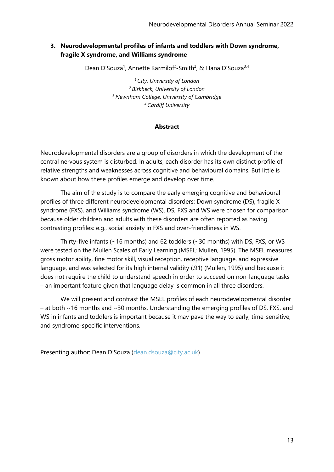## **3. Neurodevelopmental profiles of infants and toddlers with Down syndrome, fragile X syndrome, and Williams syndrome**

Dean D'Souza<sup>1</sup>, Annette Karmiloff-Smith<sup>2</sup>, & Hana D'Souza<sup>3,4</sup>

*City, University of London Birkbeck, University of London Newnham College, University of Cambridge Cardiff University*

## **Abstract**

Neurodevelopmental disorders are a group of disorders in which the development of the central nervous system is disturbed. In adults, each disorder has its own distinct profile of relative strengths and weaknesses across cognitive and behavioural domains. But little is known about how these profiles emerge and develop over time.

The aim of the study is to compare the early emerging cognitive and behavioural profiles of three different neurodevelopmental disorders: Down syndrome (DS), fragile X syndrome (FXS), and Williams syndrome (WS). DS, FXS and WS were chosen for comparison because older children and adults with these disorders are often reported as having contrasting profiles: e.g., social anxiety in FXS and over-friendliness in WS.

Thirty-five infants (~16 months) and 62 toddlers (~30 months) with DS, FXS, or WS were tested on the Mullen Scales of Early Learning (MSEL; Mullen, 1995). The MSEL measures gross motor ability, fine motor skill, visual reception, receptive language, and expressive language, and was selected for its high internal validity (.91) (Mullen, 1995) and because it does not require the child to understand speech in order to succeed on non-language tasks – an important feature given that language delay is common in all three disorders.

We will present and contrast the MSEL profiles of each neurodevelopmental disorder – at both ~16 months and ~30 months. Understanding the emerging profiles of DS, FXS, and WS in infants and toddlers is important because it may pave the way to early, time-sensitive, and syndrome-specific interventions.

Presenting author: Dean D'Souza ([dean.dsouza@city.ac.uk\)](mailto:dean.dsouza@city.ac.uk)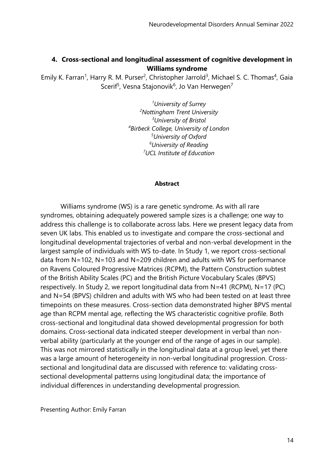## **4. Cross-sectional and longitudinal assessment of cognitive development in Williams syndrome**

Emily K. Farran<sup>1</sup>, Harry R. M. Purser<sup>2</sup>, Christopher Jarrold<sup>3</sup>, Michael S. C. Thomas<sup>4</sup>, Gaia Scerif<sup>5</sup>, Vesna Stajonovik<sup>6</sup>, Jo Van Herwegen<sup>7</sup>

> *University of Surrey Nottingham Trent University University of Bristol Birbeck College, University of London University of Oxford University of Reading UCL Institute of Education*

#### **Abstract**

Williams syndrome (WS) is a rare genetic syndrome. As with all rare syndromes, obtaining adequately powered sample sizes is a challenge; one way to address this challenge is to collaborate across labs. Here we present legacy data from seven UK labs. This enabled us to investigate and compare the cross-sectional and longitudinal developmental trajectories of verbal and non-verbal development in the largest sample of individuals with WS to-date. In Study 1, we report cross-sectional data from N=102, N=103 and N=209 children and adults with WS for performance on Ravens Coloured Progressive Matrices (RCPM), the Pattern Construction subtest of the British Ability Scales (PC) and the British Picture Vocabulary Scales (BPVS) respectively. In Study 2, we report longitudinal data from N=41 (RCPM), N=17 (PC) and N=54 (BPVS) children and adults with WS who had been tested on at least three timepoints on these measures. Cross-section data demonstrated higher BPVS mental age than RCPM mental age, reflecting the WS characteristic cognitive profile. Both cross-sectional and longitudinal data showed developmental progression for both domains. Cross-sectional data indicated steeper development in verbal than nonverbal ability (particularly at the younger end of the range of ages in our sample). This was not mirrored statistically in the longitudinal data at a group level, yet there was a large amount of heterogeneity in non-verbal longitudinal progression. Crosssectional and longitudinal data are discussed with reference to: validating crosssectional developmental patterns using longitudinal data; the importance of individual differences in understanding developmental progression.

Presenting Author: Emily Farran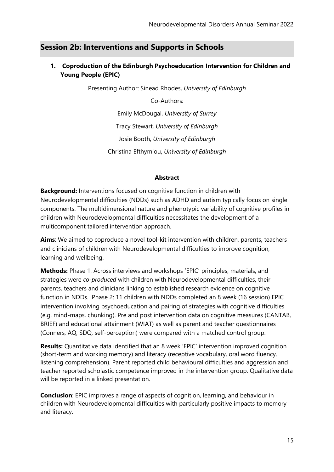# **Session 2b: Interventions and Supports in Schools**

## **1. Coproduction of the Edinburgh Psychoeducation Intervention for Children and Young People (EPIC)**

Presenting Author: Sinead Rhodes, *University of Edinburgh*

Co-Authors:

Emily McDougal, *University of Surrey* Tracy Stewart, *University of Edinburgh* Josie Booth, *University of Edinburgh* Christina Efthymiou, *University of Edinburgh*

#### **Abstract**

**Background:** Interventions focused on cognitive function in children with Neurodevelopmental difficulties (NDDs) such as ADHD and autism typically focus on single components. The multidimensional nature and phenotypic variability of cognitive profiles in children with Neurodevelopmental difficulties necessitates the development of a multicomponent tailored intervention approach.

**Aims**: We aimed to coproduce a novel tool-kit intervention with children, parents, teachers and clinicians of children with Neurodevelopmental difficulties to improve cognition, learning and wellbeing.

**Methods:** Phase 1: Across interviews and workshops 'EPIC' principles, materials, and strategies were *co-produced* with children with Neurodevelopmental difficulties, their parents, teachers and clinicians linking to established research evidence on cognitive function in NDDs. Phase 2: 11 children with NDDs completed an 8 week (16 session) EPIC intervention involving psychoeducation and pairing of strategies with cognitive difficulties (e.g. mind-maps, chunking). Pre and post intervention data on cognitive measures (CANTAB, BRIEF) and educational attainment (WIAT) as well as parent and teacher questionnaires (Conners, AQ, SDQ, self-perception) were compared with a matched control group.

**Results:** Quantitative data identified that an 8 week 'EPIC' intervention improved cognition (short-term and working memory) and literacy (receptive vocabulary, oral word fluency. listening comprehension). Parent reported child behavioural difficulties and aggression and teacher reported scholastic competence improved in the intervention group. Qualitative data will be reported in a linked presentation.

**Conclusion**: EPIC improves a range of aspects of cognition, learning, and behaviour in children with Neurodevelopmental difficulties with particularly positive impacts to memory and literacy.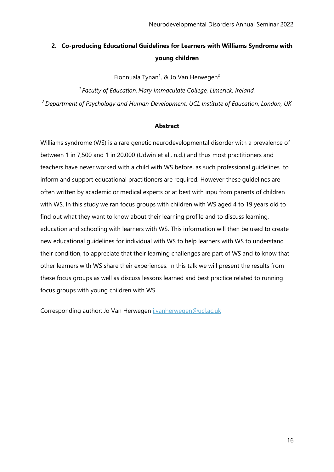# **2. Co-producing Educational Guidelines for Learners with Williams Syndrome with young children**

Fionnuala Tynan<sup>1</sup>, & Jo Van Herwegen<sup>2</sup>

*<sup>1</sup>Faculty of Education, Mary Immaculate College, Limerick, Ireland. <sup>2</sup> Department of Psychology and Human Development, UCL Institute of Education, London, UK*

#### **Abstract**

Williams syndrome (WS) is a rare genetic neurodevelopmental disorder with a prevalence of between 1 in 7,500 and 1 in 20,000 (Udwin et al., n.d.) and thus most practitioners and teachers have never worked with a child with WS before, as such professional guidelines to inform and support educational practitioners are required. However these guidelines are often written by academic or medical experts or at best with inpu from parents of children with WS. In this study we ran focus groups with children with WS aged 4 to 19 years old to find out what they want to know about their learning profile and to discuss learning, education and schooling with learners with WS. This information will then be used to create new educational guidelines for individual with WS to help learners with WS to understand their condition, to appreciate that their learning challenges are part of WS and to know that other learners with WS share their experiences. In this talk we will present the results from these focus groups as well as discuss lessons learned and best practice related to running focus groups with young children with WS.

Corresponding author: Jo Van Herwegen [j.vanherwegen@ucl.ac.uk](mailto:j.vanherwegen@ucl.ac.uk)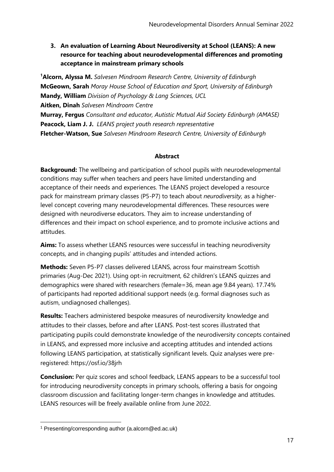**3. An evaluation of Learning About Neurodiversity at School (LEANS): A new resource for teaching about neurodevelopmental differences and promoting acceptance in mainstream primary schools**

**<sup>1</sup>Alcorn, Alyssa M.** *Salvesen Mindroom Research Centre, University of Edinburgh* **McGeown, Sarah** *Moray House School of Education and Sport, University of Edinburgh* **Mandy, William** *Division of Psychology & Lang Sciences, UCL* **Aitken, Dinah** *Salvesen Mindroom Centre* **Murray, Fergus** *Consultant and educator, Autistic Mutual Aid Society Edinburgh (AMASE)* **Peacock, Liam J. J.** *LEANS project youth research representative* **Fletcher-Watson, Sue** *Salvesen Mindroom Research Centre, University of Edinburgh*

## **Abstract**

**Background:** The wellbeing and participation of school pupils with neurodevelopmental conditions may suffer when teachers and peers have limited understanding and acceptance of their needs and experiences. The LEANS project developed a resource pack for mainstream primary classes (P5-P7) to teach about *neurodiversity,* as a higherlevel concept covering many neurodevelopmental differences. These resources were designed with neurodiverse educators. They aim to increase understanding of differences and their impact on school experience, and to promote inclusive actions and attitudes.

**Aims:** To assess whether LEANS resources were successful in teaching neurodiversity concepts, and in changing pupils' attitudes and intended actions.

**Methods:** Seven P5-P7 classes delivered LEANS, across four mainstream Scottish primaries (Aug-Dec 2021). Using opt-in recruitment, 62 children's LEANS quizzes and demographics were shared with researchers (female=36, mean age 9.84 years). 17.74% of participants had reported additional support needs (e.g. formal diagnoses such as autism, undiagnosed challenges).

**Results:** Teachers administered bespoke measures of neurodiversity knowledge and attitudes to their classes, before and after LEANS. Post-test scores illustrated that participating pupils could demonstrate knowledge of the neurodiversity concepts contained in LEANS, and expressed more inclusive and accepting attitudes and intended actions following LEANS participation, at statistically significant levels. Quiz analyses were preregistered: https://osf.io/38jrh

**Conclusion:** Per quiz scores and school feedback, LEANS appears to be a successful tool for introducing neurodiversity concepts in primary schools, offering a basis for ongoing classroom discussion and facilitating longer-term changes in knowledge and attitudes. LEANS resources will be freely available online from June 2022.

<sup>1</sup> Presenting/corresponding author (a.alcorn@ed.ac.uk)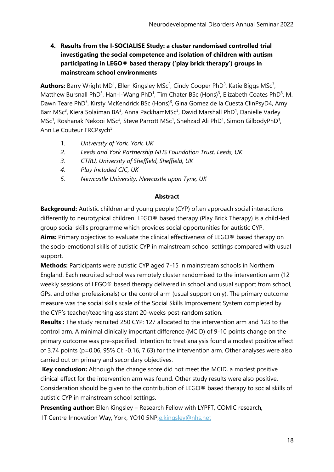**4. Results from the I-SOCIALISE Study: a cluster randomised controlled trial investigating the social competence and isolation of children with autism participating in LEGO® based therapy ('play brick therapy') groups in mainstream school environments**

Authors: Barry Wright MD<sup>1</sup>, Ellen Kingsley MSc<sup>2</sup>, Cindy Cooper PhD<sup>3</sup>, Katie Biggs MSc<sup>3</sup>, Matthew Bursnall PhD<sup>3</sup>, Han-I-Wang PhD<sup>1</sup>, Tim Chater BSc (Hons)<sup>3</sup>, Elizabeth Coates PhD<sup>3</sup>, M. Dawn Teare PhD<sup>5</sup>, Kirsty McKendrick BSc (Hons)<sup>3</sup>, Gina Gomez de la Cuesta ClinPsyD4, Amy Barr MSc<sup>3</sup>, Kiera Solaiman BA<sup>3</sup>, Anna PackhamMSc<sup>3</sup>, David Marshall PhD<sup>1</sup>, Danielle Varley MSc<sup>1</sup>, Roshanak Nekooi MSc<sup>2</sup>, Steve Parrott MSc<sup>1</sup>, Shehzad Ali PhD<sup>1</sup>, Simon GilbodyPhD<sup>1</sup>, Ann Le Couteur FRCPsych<sup>5</sup>

- 1. *University of York, York, UK*
- *2. Leeds and York Partnership NHS Foundation Trust, Leeds, UK*
- *3. CTRU, University of Sheffield, Sheffield, UK*
- *4. Play Included CIC, UK*
- *5. Newcastle University, Newcastle upon Tyne, UK*

#### **Abstract**

**Background:** Autistic children and young people (CYP) often approach social interactions differently to neurotypical children. LEGO® based therapy (Play Brick Therapy) is a child-led group social skills programme which provides social opportunities for autistic CYP. **Aims:** Primary objective: to evaluate the clinical effectiveness of LEGO® based therapy on the socio-emotional skills of autistic CYP in mainstream school settings compared with usual support.

**Methods:** Participants were autistic CYP aged 7-15 in mainstream schools in Northern England. Each recruited school was remotely cluster randomised to the intervention arm (12 weekly sessions of LEGO® based therapy delivered in school and usual support from school, GPs, and other professionals) or the control arm (usual support only). The primary outcome measure was the social skills scale of the Social Skills Improvement System completed by the CYP's teacher/teaching assistant 20-weeks post-randomisation.

**Results :** The study recruited 250 CYP: 127 allocated to the intervention arm and 123 to the control arm. A minimal clinically important difference (MCID) of 9-10 points change on the primary outcome was pre-specified. Intention to treat analysis found a modest positive effect of 3.74 points (p=0.06, 95% CI: -0.16, 7.63) for the intervention arm. Other analyses were also carried out on primary and secondary objectives.

**Key conclusion:** Although the change score did not meet the MCID, a modest positive clinical effect for the intervention arm was found. Other study results were also positive. Consideration should be given to the contribution of LEGO® based therapy to social skills of autistic CYP in mainstream school settings.

**Presenting author:** Ellen Kingsley – Research Fellow with LYPFT, COMIC research, IT Centre Innovation Way, York, YO10 5NP,[e.kingsley@nhs.net](mailto:e.kingsley@nhs.net)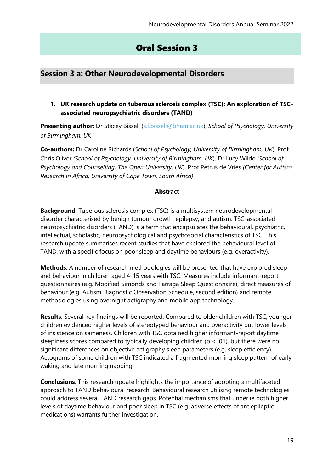# Oral Session 3

# **Session 3 a: Other Neurodevelopmental Disorders**

**1. UK research update on tuberous sclerosis complex (TSC): An exploration of TSCassociated neuropsychiatric disorders (TAND)**

**Presenting author:** Dr Stacey Bissell [\(s.l.bissell@bham.ac.uk\)](mailto:s.l.bissell@bham.ac.uk), *School of Psychology, University of Birmingham, UK*

**Co-authors:** Dr Caroline Richards (*School of Psychology, University of Birmingham, UK*), Prof Chris Oliver *(School of Psychology, University of Birmingham, UK*), Dr Lucy Wilde *(School of Psychology and Counselling, The Open University, UK*), Prof Petrus de Vries *(Center for Autism Research in Africa, University of Cape Town, South Africa)*

#### **Abstract**

**Background**: Tuberous sclerosis complex (TSC) is a multisystem neurodevelopmental disorder characterised by benign tumour growth, epilepsy, and autism. TSC-associated neuropsychiatric disorders (TAND) is a term that encapsulates the behavioural, psychiatric, intellectual, scholastic, neuropsychological and psychosocial characteristics of TSC. This research update summarises recent studies that have explored the behavioural level of TAND, with a specific focus on poor sleep and daytime behaviours (e.g. overactivity).

**Methods**: A number of research methodologies will be presented that have explored sleep and behaviour in children aged 4-15 years with TSC. Measures include informant-report questionnaires (e.g. Modified Simonds and Parraga Sleep Questionnaire), direct measures of behaviour (e.g. Autism Diagnostic Observation Schedule, second edition) and remote methodologies using overnight actigraphy and mobile app technology.

**Results**: Several key findings will be reported. Compared to older children with TSC, younger children evidenced higher levels of stereotyped behaviour and overactivity but lower levels of insistence on sameness. Children with TSC obtained higher informant-report daytime sleepiness scores compared to typically developing children ( $p < .01$ ), but there were no significant differences on objective actigraphy sleep parameters (e.g. sleep efficiency). Actograms of some children with TSC indicated a fragmented morning sleep pattern of early waking and late morning napping.

**Conclusions**: This research update highlights the importance of adopting a multifaceted approach to TAND behavioural research. Behavioural research utilising remote technologies could address several TAND research gaps. Potential mechanisms that underlie both higher levels of daytime behaviour and poor sleep in TSC (e.g. adverse effects of antiepileptic medications) warrants further investigation.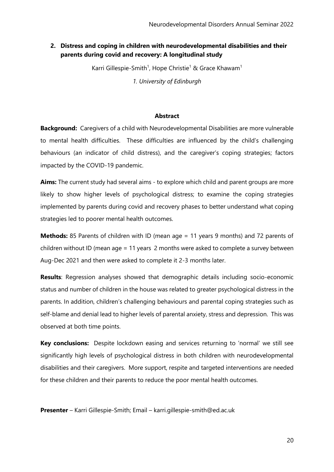### **2. Distress and coping in children with neurodevelopmental disabilities and their parents during covid and recovery: A longitudinal study**

Karri Gillespie-Smith<sup>1</sup>, Hope Christie<sup>1</sup> & Grace Khawam<sup>1</sup>

*1. University of Edinburgh*

#### **Abstract**

**Background:** Caregivers of a child with Neurodevelopmental Disabilities are more vulnerable to mental health difficulties. These difficulties are influenced by the child's challenging behaviours (an indicator of child distress), and the caregiver's coping strategies; factors impacted by the COVID-19 pandemic.

**Aims:** The current study had several aims - to explore which child and parent groups are more likely to show higher levels of psychological distress; to examine the coping strategies implemented by parents during covid and recovery phases to better understand what coping strategies led to poorer mental health outcomes.

**Methods:** 85 Parents of children with ID (mean age = 11 years 9 months) and 72 parents of children without ID (mean age = 11 years 2 months were asked to complete a survey between Aug-Dec 2021 and then were asked to complete it 2-3 months later.

**Results**: Regression analyses showed that demographic details including socio-economic status and number of children in the house was related to greater psychological distress in the parents. In addition, children's challenging behaviours and parental coping strategies such as self-blame and denial lead to higher levels of parental anxiety, stress and depression. This was observed at both time points.

**Key conclusions:** Despite lockdown easing and services returning to 'normal' we still see significantly high levels of psychological distress in both children with neurodevelopmental disabilities and their caregivers. More support, respite and targeted interventions are needed for these children and their parents to reduce the poor mental health outcomes.

**Presenter** – Karri Gillespie-Smith; Email – karri.gillespie-smith@ed.ac.uk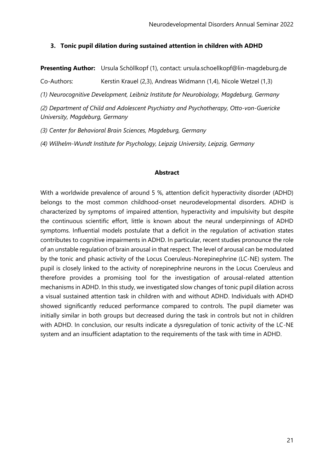#### **3. Tonic pupil dilation during sustained attention in children with ADHD**

**Presenting Author:** Ursula Schöllkopf (1), contact: ursula.schoellkopf@lin-magdeburg.de

Co-Authors: Kerstin Krauel (2,3), Andreas Widmann (1,4), Nicole Wetzel (1,3)

*(1) Neurocognitive Development, Leibniz Institute for Neurobiology, Magdeburg, Germany*

*(2) Department of Child and Adolescent Psychiatry and Psychotherapy, Otto-von-Guericke University, Magdeburg, Germany*

*(3) Center for Behavioral Brain Sciences, Magdeburg, Germany*

*(4) Wilhelm-Wundt Institute for Psychology, Leipzig University, Leipzig, Germany*

#### **Abstract**

With a worldwide prevalence of around 5 %, attention deficit hyperactivity disorder (ADHD) belongs to the most common childhood-onset neurodevelopmental disorders. ADHD is characterized by symptoms of impaired attention, hyperactivity and impulsivity but despite the continuous scientific effort, little is known about the neural underpinnings of ADHD symptoms. Influential models postulate that a deficit in the regulation of activation states contributes to cognitive impairments in ADHD. In particular, recent studies pronounce the role of an unstable regulation of brain arousal in that respect. The level of arousal can be modulated by the tonic and phasic activity of the Locus Coeruleus-Norepinephrine (LC-NE) system. The pupil is closely linked to the activity of norepinephrine neurons in the Locus Coeruleus and therefore provides a promising tool for the investigation of arousal-related attention mechanisms in ADHD. In this study, we investigated slow changes of tonic pupil dilation across a visual sustained attention task in children with and without ADHD. Individuals with ADHD showed significantly reduced performance compared to controls. The pupil diameter was initially similar in both groups but decreased during the task in controls but not in children with ADHD. In conclusion, our results indicate a dysregulation of tonic activity of the LC-NE system and an insufficient adaptation to the requirements of the task with time in ADHD.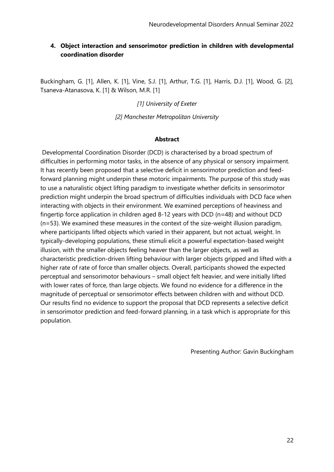## **4. Object interaction and sensorimotor prediction in children with developmental coordination disorder**

Buckingham, G. [1], Allen, K. [1], Vine, S.J. [1], Arthur, T.G. [1], Harris, D.J. [1], Wood, G. [2], Tsaneva-Atanasova, K. [1] & Wilson, M.R. [1]

#### *[1] University of Exeter*

*[2] Manchester Metropolitan University*

#### **Abstract**

Developmental Coordination Disorder (DCD) is characterised by a broad spectrum of difficulties in performing motor tasks, in the absence of any physical or sensory impairment. It has recently been proposed that a selective deficit in sensorimotor prediction and feedforward planning might underpin these motoric impairments. The purpose of this study was to use a naturalistic object lifting paradigm to investigate whether deficits in sensorimotor prediction might underpin the broad spectrum of difficulties individuals with DCD face when interacting with objects in their environment. We examined perceptions of heaviness and fingertip force application in children aged 8-12 years with DCD (n=48) and without DCD (n=53). We examined these measures in the context of the size-weight illusion paradigm, where participants lifted objects which varied in their apparent, but not actual, weight. In typically-developing populations, these stimuli elicit a powerful expectation-based weight illusion, with the smaller objects feeling heaver than the larger objects, as well as characteristic prediction-driven lifting behaviour with larger objects gripped and lifted with a higher rate of rate of force than smaller objects. Overall, participants showed the expected perceptual and sensorimotor behaviours – small object felt heavier, and were initially lifted with lower rates of force, than large objects. We found no evidence for a difference in the magnitude of perceptual or sensorimotor effects between children with and without DCD. Our results find no evidence to support the proposal that DCD represents a selective deficit in sensorimotor prediction and feed-forward planning, in a task which is appropriate for this population.

Presenting Author: Gavin Buckingham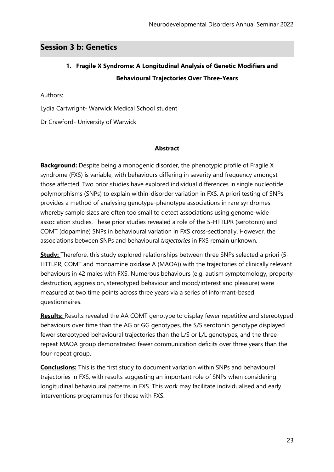# **Session 3 b: Genetics**

# **1. Fragile X Syndrome: A Longitudinal Analysis of Genetic Modifiers and Behavioural Trajectories Over Three-Years**

Authors:

Lydia Cartwright- Warwick Medical School student

Dr Crawford- University of Warwick

#### **Abstract**

**Background:** Despite being a monogenic disorder, the phenotypic profile of Fragile X syndrome (FXS) is variable, with behaviours differing in severity and frequency amongst those affected. Two prior studies have explored individual differences in single nucleotide polymorphisms (SNPs) to explain within-disorder variation in FXS. A priori testing of SNPs provides a method of analysing genotype-phenotype associations in rare syndromes whereby sample sizes are often too small to detect associations using genome-wide association studies. These prior studies revealed a role of the 5-HTTLPR (serotonin) and COMT (dopamine) SNPs in behavioural variation in FXS cross-sectionally. However, the associations between SNPs and behavioural *trajectories* in FXS remain unknown.

**Study:** Therefore, this study explored relationships between three SNPs selected a priori (5- HTTLPR, COMT and monoamine oxidase A (MAOA)) with the trajectories of clinically relevant behaviours in 42 males with FXS. Numerous behaviours (e.g. autism symptomology, property destruction, aggression, stereotyped behaviour and mood/interest and pleasure) were measured at two time points across three years via a series of informant-based questionnaires.

**Results:** Results revealed the AA COMT genotype to display fewer repetitive and stereotyped behaviours over time than the AG or GG genotypes, the S/S serotonin genotype displayed fewer stereotyped behavioural trajectories than the L/S or L/L genotypes, and the threerepeat MAOA group demonstrated fewer communication deficits over three years than the four-repeat group.

**Conclusions:** This is the first study to document variation within SNPs and behavioural trajectories in FXS, with results suggesting an important role of SNPs when considering longitudinal behavioural patterns in FXS. This work may facilitate individualised and early interventions programmes for those with FXS.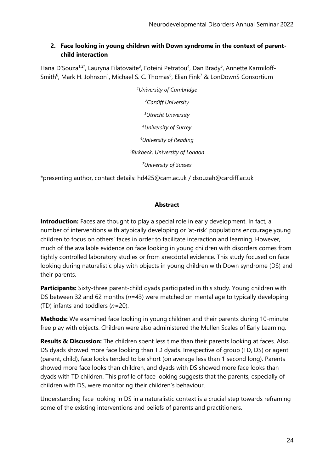## **2. Face looking in young children with Down syndrome in the context of parentchild interaction**

Hana D'Souza<sup>1,2\*</sup>, Lauryna Filatovaite<sup>3</sup>, Foteini Petratou<sup>4</sup>, Dan Brady<sup>5</sup>, Annette Karmiloff-Smith<sup>6</sup>, Mark H. Johnson<sup>1</sup>, Michael S. C. Thomas<sup>6</sup>, Elian Fink<sup>7</sup> & LonDownS Consortium

> *University of Cambridge Cardiff University Utrecht University University of Surrey University of Reading Birkbeck, University of London University of Sussex*

\*presenting author, contact details: hd425@cam.ac.uk / dsouzah@cardiff.ac.uk

## **Abstract**

**Introduction:** Faces are thought to play a special role in early development. In fact, a number of interventions with atypically developing or 'at-risk' populations encourage young children to focus on others' faces in order to facilitate interaction and learning. However, much of the available evidence on face looking in young children with disorders comes from tightly controlled laboratory studies or from anecdotal evidence. This study focused on face looking during naturalistic play with objects in young children with Down syndrome (DS) and their parents.

**Participants:** Sixty-three parent-child dyads participated in this study. Young children with DS between 32 and 62 months (*n*=43) were matched on mental age to typically developing (TD) infants and toddlers (*n*=20).

**Methods:** We examined face looking in young children and their parents during 10-minute free play with objects. Children were also administered the Mullen Scales of Early Learning.

**Results & Discussion:** The children spent less time than their parents looking at faces. Also, DS dyads showed more face looking than TD dyads. Irrespective of group (TD, DS) or agent (parent, child), face looks tended to be short (on average less than 1 second long). Parents showed more face looks than children, and dyads with DS showed more face looks than dyads with TD children. This profile of face looking suggests that the parents, especially of children with DS, were monitoring their children's behaviour.

Understanding face looking in DS in a naturalistic context is a crucial step towards reframing some of the existing interventions and beliefs of parents and practitioners.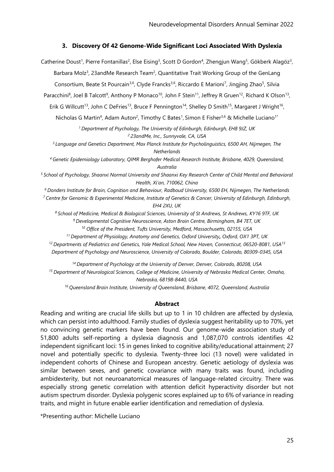#### **3. Discovery Of 42 Genome-Wide Significant Loci Associated With Dyslexia**

Catherine Doust<sup>1</sup>, Pierre Fontanillas<sup>2</sup>, Else Eising<sup>3</sup>, Scott D Gordon<sup>4</sup>, Zhengjun Wang<sup>5</sup>, Gökberk Alagöz<sup>3</sup>, Barbara Molz<sup>3</sup>, 23andMe Research Team<sup>2</sup>, Quantitative Trait Working Group of the GenLang Consortium, Beate St Pourcain<sup>3,6</sup>, Clyde Francks<sup>3,6</sup>, Riccardo E Marioni<sup>7</sup>, Jingjing Zhao<sup>5</sup>, Silvia Paracchini<sup>8</sup>, Joel B Talcott<sup>9</sup>, Anthony P Monaco<sup>10</sup>, John F Stein<sup>11</sup>, Jeffrey R Gruen<sup>12</sup>, Richard K Olson<sup>13</sup>, Erik G Willcutt<sup>13</sup>, John C DeFries<sup>13</sup>, Bruce F Pennington<sup>14</sup>, Shelley D Smith<sup>15</sup>, Margaret J Wright<sup>16</sup>, Nicholas G Martin<sup>4</sup>, Adam Auton<sup>2</sup>, Timothy C Bates<sup>1</sup>, Simon E Fisher<sup>3,6</sup> & Michelle Luciano<sup>1\*</sup> *<sup>1</sup>Department of Psychology, The University of Edinburgh, Edinburgh, EH8 9JZ, UK <sup>2</sup>23andMe, Inc., Sunnyvale, CA, USA <sup>3</sup>Language and Genetics Department, Max Planck Institute for Psycholinguistics, 6500 AH, Nijmegen, The Netherlands <sup>4</sup>Genetic Epidemiology Laboratory, QIMR Berghofer Medical Research Institute, Brisbane, 4029, Queensland, Australia <sup>5</sup>School of Psychology, Shaanxi Normal University and Shaanxi Key Research Center of Child Mental and Behavioral Health, Xi'an, 710062, China <sup>6</sup>Donders Institute for Brain, Cognition and Behaviour, Radboud University, 6500 EH, Nijmegen, The Netherlands <sup>7</sup>Centre for Genomic & Experimental Medicine, Institute of Genetics & Cancer, University of Edinburgh, Edinburgh, EH4 2XU, UK <sup>8</sup>School of Medicine, Medical & Biological Sciences, University of St Andrews, St Andrews, KY16 9TF, UK <sup>9</sup>Developmental Cognitive Neuroscience, Aston Brain Centre, Birmingham, B4 7ET, UK <sup>10</sup> Office of the President, Tufts University, Medford, Massachusetts, 02155, USA <sup>11</sup>Department of Physiology, Anatomy and Genetics, Oxford University, Oxford, OX1 3PT, UK <sup>12</sup>Departments of Pediatrics and Genetics, Yale Medical School, New Haven, Connecticut, 06520-8081, USA<sup>13</sup> Department of Psychology and Neuroscience, University of Colorado, Boulder, Colorado, 80309-0345, USA <sup>14</sup>Department of Psychology at the University of Denver, Denver, Colorado, 80208, USA <sup>15</sup>Department of Neurological Sciences, College of Medicine, University of Nebraska Medical Center, Omaha, Nebraska, 68198-8440, USA <sup>16</sup>Queensland Brain Institute, University of Queensland, Brisbane, 4072, Queensland, Australia* **Abstract** Reading and writing are crucial life skills but up to 1 in 10 children are affected by dyslexia,

which can persist into adulthood. Family studies of dyslexia suggest heritability up to 70%, yet no convincing genetic markers have been found. Our genome-wide association study of 51,800 adults self-reporting a dyslexia diagnosis and 1,087,070 controls identifies 42 independent significant loci: 15 in genes linked to cognitive ability/educational attainment; 27 novel and potentially specific to dyslexia. Twenty-three loci (13 novel) were validated in independent cohorts of Chinese and European ancestry. Genetic aetiology of dyslexia was similar between sexes, and genetic covariance with many traits was found, including ambidexterity, but not neuroanatomical measures of language-related circuitry. There was especially strong genetic correlation with attention deficit hyperactivity disorder but not autism spectrum disorder. Dyslexia polygenic scores explained up to 6% of variance in reading traits, and might in future enable earlier identification and remediation of dyslexia.

\*Presenting author: Michelle Luciano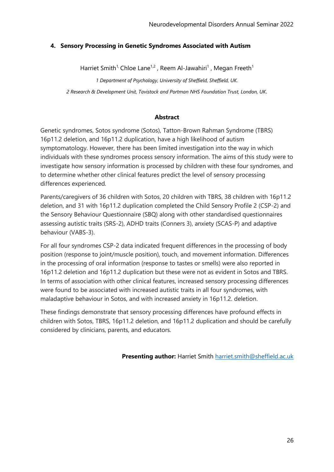## **4. Sensory Processing in Genetic Syndromes Associated with Autism**

Harriet Smith<sup>1,</sup> Chloe Lane<sup>1,2</sup>, Reem Al-Jawahiri<sup>1</sup>, Megan Freeth<sup>1</sup>

*1 Department of Psychology, University of Sheffield, Sheffield, UK. 2 Research & Development Unit, Tavistock and Portman NHS Foundation Trust, London, UK.*

#### **Abstract**

Genetic syndromes, Sotos syndrome (Sotos), Tatton-Brown Rahman Syndrome (TBRS) 16p11.2 deletion, and 16p11.2 duplication, have a high likelihood of autism symptomatology. However, there has been limited investigation into the way in which individuals with these syndromes process sensory information. The aims of this study were to investigate how sensory information is processed by children with these four syndromes, and to determine whether other clinical features predict the level of sensory processing differences experienced.

Parents/caregivers of 36 children with Sotos, 20 children with TBRS, 38 children with 16p11.2 deletion, and 31 with 16p11.2 duplication completed the Child Sensory Profile 2 (CSP-2) and the Sensory Behaviour Questionnaire (SBQ) along with other standardised questionnaires assessing autistic traits (SRS-2), ADHD traits (Conners 3), anxiety (SCAS-P) and adaptive behaviour (VABS-3).

For all four syndromes CSP-2 data indicated frequent differences in the processing of body position (response to joint/muscle position), touch, and movement information. Differences in the processing of oral information (response to tastes or smells) were also reported in 16p11.2 deletion and 16p11.2 duplication but these were not as evident in Sotos and TBRS. In terms of association with other clinical features, increased sensory processing differences were found to be associated with increased autistic traits in all four syndromes, with maladaptive behaviour in Sotos, and with increased anxiety in 16p11.2. deletion.

These findings demonstrate that sensory processing differences have profound effects in children with Sotos, TBRS, 16p11.2 deletion, and 16p11.2 duplication and should be carefully considered by clinicians, parents, and educators.

**Presenting author:** Harriet Smith [harriet.smith@sheffield.ac.uk](mailto:harriet.smith@sheffield.ac.uk)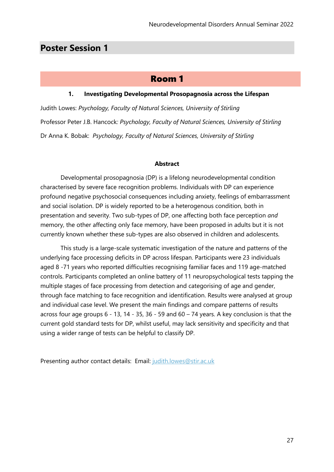# **Poster Session 1**

# Room 1

#### **1. Investigating Developmental Prosopagnosia across the Lifespan**

Judith Lowes: *Psychology, Faculty of Natural Sciences, University of Stirling*  Professor Peter J.B. Hancock*: Psychology, Faculty of Natural Sciences, University of Stirling* Dr Anna K. Bobak: *Psychology, Faculty of Natural Sciences, University of Stirling*

#### **Abstract**

Developmental prosopagnosia (DP) is a lifelong neurodevelopmental condition characterised by severe face recognition problems. Individuals with DP can experience profound negative psychosocial consequences including anxiety, feelings of embarrassment and social isolation. DP is widely reported to be a heterogenous condition, both in presentation and severity. Two sub-types of DP, one affecting both face perception *and* memory, the other affecting only face memory, have been proposed in adults but it is not currently known whether these sub-types are also observed in children and adolescents.

This study is a large-scale systematic investigation of the nature and patterns of the underlying face processing deficits in DP across lifespan. Participants were 23 individuals aged 8 -71 years who reported difficulties recognising familiar faces and 119 age-matched controls. Participants completed an online battery of 11 neuropsychological tests tapping the multiple stages of face processing from detection and categorising of age and gender, through face matching to face recognition and identification. Results were analysed at group and individual case level. We present the main findings and compare patterns of results across four age groups 6 - 13, 14 - 35, 36 - 59 and 60 – 74 years. A key conclusion is that the current gold standard tests for DP, whilst useful, may lack sensitivity and specificity and that using a wider range of tests can be helpful to classify DP.

Presenting author contact details: Email: judith.lowes@stir.ac.uk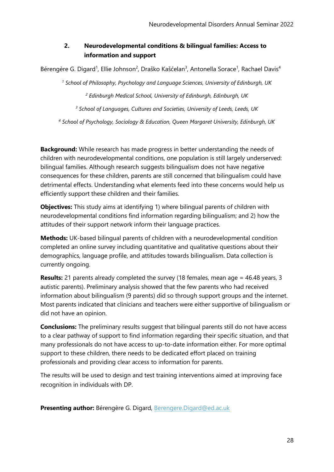## **2. Neurodevelopmental conditions & bilingual families: Access to information and support**

Bérengère G. Digard<sup>1</sup>, Ellie Johnson<sup>2</sup>, Draško Kašćelan<sup>3</sup>, Antonella Sorace<sup>1</sup>, Rachael Davis<sup>4</sup>

*<sup>1</sup> School of Philosophy, Psychology and Language Sciences, University of Edinburgh, UK*

*<sup>2</sup> Edinburgh Medical School, University of Edinburgh, Edinburgh, UK*

*<sup>3</sup> School of Languages, Cultures and Societies, University of Leeds, Leeds, UK*

*<sup>4</sup> School of Psychology, Sociology & Education, Queen Margaret University, Edinburgh, UK*

**Background:** While research has made progress in better understanding the needs of children with neurodevelopmental conditions, one population is still largely underserved: bilingual families. Although research suggests bilingualism does not have negative consequences for these children, parents are still concerned that bilingualism could have detrimental effects. Understanding what elements feed into these concerns would help us efficiently support these children and their families.

**Objectives:** This study aims at identifying 1) where bilingual parents of children with neurodevelopmental conditions find information regarding bilingualism; and 2) how the attitudes of their support network inform their language practices.

**Methods:** UK-based bilingual parents of children with a neurodevelopmental condition completed an online survey including quantitative and qualitative questions about their demographics, language profile, and attitudes towards bilingualism. Data collection is currently ongoing.

**Results:** 21 parents already completed the survey (18 females, mean age = 46.48 years, 3 autistic parents). Preliminary analysis showed that the few parents who had received information about bilingualism (9 parents) did so through support groups and the internet. Most parents indicated that clinicians and teachers were either supportive of bilingualism or did not have an opinion.

**Conclusions:** The preliminary results suggest that bilingual parents still do not have access to a clear pathway of support to find information regarding their specific situation, and that many professionals do not have access to up-to-date information either. For more optimal support to these children, there needs to be dedicated effort placed on training professionals and providing clear access to information for parents.

The results will be used to design and test training interventions aimed at improving face recognition in individuals with DP.

**Presenting author:** Bérengère G. Digard, [Berengere.Digard@ed.ac.uk](mailto:Berengere.Digard@ed.ac.uk)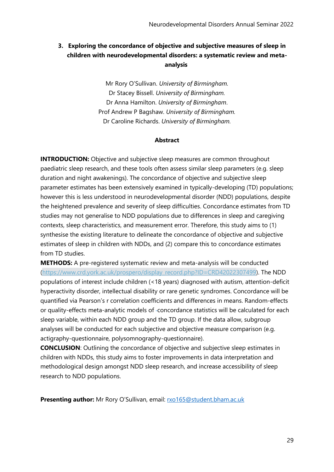## **3. Exploring the concordance of objective and subjective measures of sleep in children with neurodevelopmental disorders: a systematic review and metaanalysis**

Mr Rory O'Sullivan. *University of Birmingham.* Dr Stacey Bissell. *University of Birmingham.* Dr Anna Hamilton. *University of Birmingham*. Prof Andrew P Bagshaw. *University of Birmingham.* Dr Caroline Richards. *University of Birmingham.*

#### **Abstract**

**INTRODUCTION:** Objective and subjective sleep measures are common throughout paediatric sleep research, and these tools often assess similar sleep parameters (e.g. sleep duration and night awakenings). The concordance of objective and subjective sleep parameter estimates has been extensively examined in typically-developing (TD) populations; however this is less understood in neurodevelopmental disorder (NDD) populations, despite the heightened prevalence and severity of sleep difficulties. Concordance estimates from TD studies may not generalise to NDD populations due to differences in sleep and caregiving contexts, sleep characteristics, and measurement error. Therefore, this study aims to (1) synthesise the existing literature to delineate the concordance of objective and subjective estimates of sleep in children with NDDs, and (2) compare this to concordance estimates from TD studies.

**METHODS:** A pre-registered systematic review and meta-analysis will be conducted [\(https://www.crd.york.ac.uk/prospero/display\\_record.php?ID=CRD42022307499\)](https://www.crd.york.ac.uk/prospero/display_record.php?ID=CRD42022307499). The NDD populations of interest include children (<18 years) diagnosed with autism, attention-deficit hyperactivity disorder, intellectual disability or rare genetic syndromes. Concordance will be quantified via Pearson's r correlation coefficients and differences in means. Random-effects or quality-effects meta-analytic models of -concordance statistics will be calculated for each sleep variable, within each NDD group and the TD group. If the data allow, subgroup analyses will be conducted for each subjective and objective measure comparison (e.g. actigraphy-questionnaire, polysomnography-questionnaire).

**CONCLUSION:** Outlining the concordance of objective and subjective sleep estimates in children with NDDs, this study aims to foster improvements in data interpretation and methodological design amongst NDD sleep research, and increase accessibility of sleep research to NDD populations.

**Presenting author:** Mr Rory O'Sullivan, email: **[rxo165@student.bham.ac.uk](mailto:rxo165@student.bham.ac.uk)**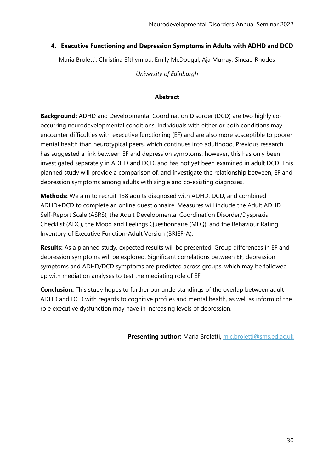## **4. Executive Functioning and Depression Symptoms in Adults with ADHD and DCD**

Maria Broletti, Christina Efthymiou, Emily McDougal, Aja Murray, Sinead Rhodes

*University of Edinburgh*

#### **Abstract**

**Background:** ADHD and Developmental Coordination Disorder (DCD) are two highly cooccurring neurodevelopmental conditions. Individuals with either or both conditions may encounter difficulties with executive functioning (EF) and are also more susceptible to poorer mental health than neurotypical peers, which continues into adulthood. Previous research has suggested a link between EF and depression symptoms; however, this has only been investigated separately in ADHD and DCD, and has not yet been examined in adult DCD. This planned study will provide a comparison of, and investigate the relationship between, EF and depression symptoms among adults with single and co-existing diagnoses.

**Methods:** We aim to recruit 138 adults diagnosed with ADHD, DCD, and combined ADHD+DCD to complete an online questionnaire. Measures will include the Adult ADHD Self-Report Scale (ASRS), the Adult Developmental Coordination Disorder/Dyspraxia Checklist (ADC), the Mood and Feelings Questionnaire (MFQ), and the Behaviour Rating Inventory of Executive Function-Adult Version (BRIEF-A).

**Results:** As a planned study, expected results will be presented. Group differences in EF and depression symptoms will be explored. Significant correlations between EF, depression symptoms and ADHD/DCD symptoms are predicted across groups, which may be followed up with mediation analyses to test the mediating role of EF.

**Conclusion:** This study hopes to further our understandings of the overlap between adult ADHD and DCD with regards to cognitive profiles and mental health, as well as inform of the role executive dysfunction may have in increasing levels of depression.

**Presenting author:** Maria Broletti, [m.c.broletti@sms.ed.ac.uk](mailto:m.c.broletti@sms.ed.ac.uk)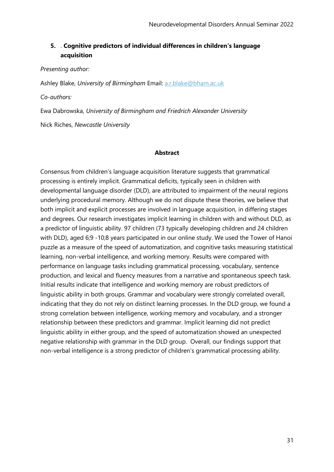## **5.** . **Cognitive predictors of individual differences in children's language acquisition**

*Presenting author:*

Ashley Blake, *University of Birmingham* Email: [a.r.blake@bham.ac.uk](mailto:a.r.blake@bham.ac.uk)

*Co-authors:*

Ewa Dabrowska, *University of Birmingham and Friedrich Alexander University*

Nick Riches, *Newcastle University*

#### **Abstract**

Consensus from children's language acquisition literature suggests that grammatical processing is entirely implicit. Grammatical deficits, typically seen in children with developmental language disorder (DLD), are attributed to impairment of the neural regions underlying procedural memory. Although we do not dispute these theories, we believe that both implicit and explicit processes are involved in language acquisition, in differing stages and degrees. Our research investigates implicit learning in children with and without DLD, as a predictor of linguistic ability. 97 children (73 typically developing children and 24 children with DLD), aged 6;9 -10;8 years participated in our online study. We used the Tower of Hanoi puzzle as a measure of the speed of automatization, and cognitive tasks measuring statistical learning, non-verbal intelligence, and working memory. Results were compared with performance on language tasks including grammatical processing, vocabulary, sentence production, and lexical and fluency measures from a narrative and spontaneous speech task. Initial results indicate that intelligence and working memory are robust predictors of linguistic ability in both groups. Grammar and vocabulary were strongly correlated overall, indicating that they do not rely on distinct learning processes. In the DLD group, we found a strong correlation between intelligence, working memory and vocabulary, and a stronger relationship between these predictors and grammar. Implicit learning did not predict linguistic ability in either group, and the speed of automatization showed an unexpected negative relationship with grammar in the DLD group. Overall, our findings support that non-verbal intelligence is a strong predictor of children's grammatical processing ability.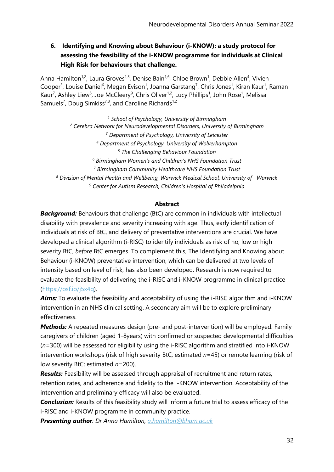**6. Identifying and Knowing about Behaviour (i-KNOW): a study protocol for assessing the feasibility of the i-KNOW programme for individuals at Clinical High Risk for behaviours that challenge.** 

Anna Hamilton<sup>1,2</sup>, Laura Groves<sup>1,3</sup>, Denise Bain<sup>1,6</sup>, Chloe Brown<sup>1</sup>, Debbie Allen<sup>4</sup>, Vivien Cooper<sup>5</sup>, Louise Daniel<sup>6</sup>, Megan Evison<sup>1</sup>, Joanna Garstang<sup>7</sup>, Chris Jones<sup>1</sup>, Kiran Kaur<sup>1</sup>, Raman Kaur<sup>7</sup>, Ashley Liew<sup>6</sup>, Joe McCleery<sup>9</sup>, Chris Oliver<sup>1,2</sup>, Lucy Phillips<sup>1</sup>, John Rose<sup>1</sup>, Melissa Samuels<sup>7</sup>, Doug Simkiss<sup>7,8</sup>, and Caroline Richards<sup>1,2</sup>

 *School of Psychology, University of Birmingham Cerebra Network for Neurodevelopmental Disorders, University of Birmingham Department of Psychology, University of Leicester Department of Psychology, University of Wolverhampton The Challenging Behaviour Foundation Birmingham Women's and Children's NHS Foundation Trust Birmingham Community Healthcare NHS Foundation Trust Division of Mental Health and Wellbeing, Warwick Medical School, University of Warwick Center for Autism Research, Children's Hospital of Philadelphia*

## **Abstract**

*Background:* Behaviours that challenge (BtC) are common in individuals with intellectual disability with prevalence and severity increasing with age. Thus, early identification of individuals at risk of BtC, and delivery of preventative interventions are crucial. We have developed a clinical algorithm (i-RISC) to identify individuals as risk of no, low or high severity BtC, *before* BtC emerges. To complement this, The Identifying and Knowing about Behaviour (i-KNOW) preventative intervention, which can be delivered at two levels of intensity based on level of risk, has also been developed. Research is now required to evaluate the feasibility of delivering the i-RISC and i-KNOW programme in clinical practice [\(https://osf.io/j5x4q\)](https://osf.io/j5x4q).

**Aims:** To evaluate the feasibility and acceptability of using the i-RISC algorithm and i-KNOW intervention in an NHS clinical setting. A secondary aim will be to explore preliminary effectiveness.

*Methods:* A repeated measures design (pre- and post-intervention) will be employed. Family caregivers of children (aged 1-8years) with confirmed or suspected developmental difficulties (*n*=300) will be assessed for eligibility using the i-RISC algorithm and stratified into i-KNOW intervention workshops (risk of high severity BtC; estimated *n*=45) or remote learning (risk of low severity BtC; estimated *n*=200).

*Results:* Feasibility will be assessed through appraisal of recruitment and return rates, retention rates, and adherence and fidelity to the i-KNOW intervention. Acceptability of the intervention and preliminary efficacy will also be evaluated.

*Conclusion:* Results of this feasibility study will inform a future trial to assess efficacy of the i-RISC and i-KNOW programme in community practice.

*Presenting author: Dr Anna Hamilton, [a.hamilton@bham.ac.uk](mailto:a.hamilton@bham.ac.uk)*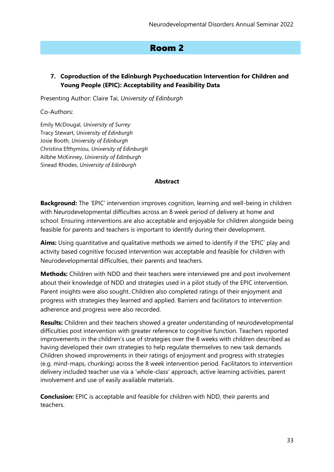# Room 2

## **7. Coproduction of the Edinburgh Psychoeducation Intervention for Children and Young People (EPIC): Acceptability and Feasibility Data**

Presenting Author: Claire Tai, *University of Edinburgh*

Co-Authors:

Emily McDougal, *University of Surrey* Tracy Stewart, *University of Edinburgh* Josie Booth, *University of Edinburgh* Christina Efthymiou, *University of Edinburgh* Ailbhe McKinney, *University of Edinburgh* Sinead Rhodes, *University of Edinburgh*

#### **Abstract**

**Background:** The 'EPIC' intervention improves cognition, learning and well-being in children with Neurodevelopmental difficulties across an 8 week period of delivery at home and school. Ensuring interventions are also acceptable and enjoyable for children alongside being feasible for parents and teachers is important to identify during their development.

**Aims:** Using quantitative and qualitative methods we aimed to identify if the 'EPIC' play and activity based cognitive focused intervention was acceptable and feasible for children with Neurodevelopmental difficulties, their parents and teachers.

**Methods:** Children with NDD and their teachers were interviewed pre and post involvement about their knowledge of NDD and strategies used in a pilot study of the EPIC intervention. Parent insights were also sought. Children also completed ratings of their enjoyment and progress with strategies they learned and applied. Barriers and facilitators to intervention adherence and progress were also recorded.

**Results:** Children and their teachers showed a greater understanding of neurodevelopmental difficulties post intervention with greater reference to cognitive function. Teachers reported improvements in the children's use of strategies over the 8 weeks with children described as having developed their own strategies to help regulate themselves to new task demands. Children showed improvements in their ratings of enjoyment and progress with strategies (e.g. mind-maps, chunking) across the 8 week intervention period. Facilitators to intervention delivery included teacher use via a 'whole-class' approach, active learning activities, parent involvement and use of easily available materials.

**Conclusion:** EPIC is acceptable and feasible for children with NDD, their parents and teachers.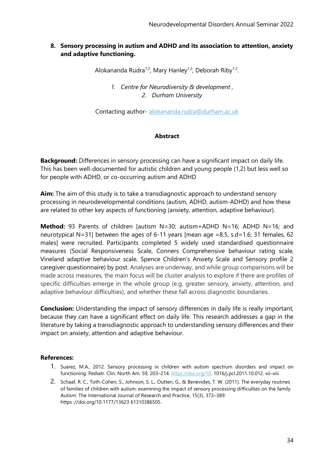## **8. Sensory processing in autism and ADHD and its association to attention, anxiety and adaptive functioning.**

Alokananda Rudra<sup>1,2</sup>, Mary Hanley<sup>1,2</sup>, Deborah Riby<sup>1,2</sup>.

*1. Centre for Neurodiversity & development , 2. Durham University*

Contacting author- [alokananda.rudra@durham.ac.uk](mailto:alokananda.rudra@durham.ac.uk)

## **Abstract**

**Background:** Differences in sensory processing can have a significant impact on daily life. This has been well-documented for autistic children and young people (1,2) but less well so for people with ADHD, or co-occurring autism and ADHD

**Aim:** The aim of this study is to take a transdiagnostic approach to understand sensory processing in neurodevelopmental conditions (autism, ADHD, autism-ADHD) and how these are related to other key aspects of functioning (anxiety, attention, adaptive behaviour).

**Method:** 93 Parents of children [autism N=30; autism+ADHD N=16; ADHD N=16; and neurotypical N=31] between the ages of 6-11 years [mean age =8.5, s.d=1.6; 31 females, 62 males] were recruited. Participants completed 5 widely used standardised questionnaire measures (Social Responsiveness Scale, Conners Comprehensive behaviour rating scale, Vineland adaptive behaviour scale, Spence Children's Anxiety Scale and Sensory profile 2 caregiver questionnaire) by post. Analyses are underway, and while group comparisons will be made across measures, the main focus will be cluster analysis to explore if there are profiles of specific difficulties emerge in the whole group (e.g. greater sensory, anxiety, attention, and adaptive behaviour difficulties), and whether these fall across diagnostic boundaries.

**Conclusion:** Understanding the impact of sensory differences in daily life is really important, because they can have a significant effect on daily life. This research addresses a gap in the literature by taking a transdiagnostic approach to understanding sensory differences and their impact on anxiety, attention and adaptive behaviour.

#### **References:**

- 1. Suarez, M.A., 2012. Sensory processing in children with autism spectrum disorders and impact on functioning. Pediatr. Clin. North Am. 59, 203–214. [https://doi.org/10.](https://doi.org/10) 1016/j.pcl.2011.10.012. xii–xiii
- 2. Schaaf, R. C., Toth-Cohen, S., Johnson, S. L., Outten, G., & Benevides, T. W. (2011). The everyday routines of families of children with autism: examining the impact of sensory processing difficulties on the family. Autism: The International Journal of Research and Practice, 15(3), 373–389. https ://doi.org/10.1177/13623 61310386505.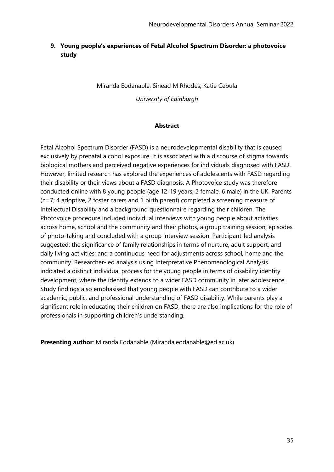## **9. Young people's experiences of Fetal Alcohol Spectrum Disorder: a photovoice study**

Miranda Eodanable, Sinead M Rhodes, Katie Cebula

*University of Edinburgh*

#### **Abstract**

Fetal Alcohol Spectrum Disorder (FASD) is a neurodevelopmental disability that is caused exclusively by prenatal alcohol exposure. It is associated with a discourse of stigma towards biological mothers and perceived negative experiences for individuals diagnosed with FASD. However, limited research has explored the experiences of adolescents with FASD regarding their disability or their views about a FASD diagnosis. A Photovoice study was therefore conducted online with 8 young people (age 12-19 years; 2 female, 6 male) in the UK. Parents (n=7; 4 adoptive, 2 foster carers and 1 birth parent) completed a screening measure of Intellectual Disability and a background questionnaire regarding their children. The Photovoice procedure included individual interviews with young people about activities across home, school and the community and their photos, a group training session, episodes of photo-taking and concluded with a group interview session. Participant-led analysis suggested: the significance of family relationships in terms of nurture, adult support, and daily living activities; and a continuous need for adjustments across school, home and the community. Researcher-led analysis using Interpretative Phenomenological Analysis indicated a distinct individual process for the young people in terms of disability identity development, where the identity extends to a wider FASD community in later adolescence. Study findings also emphasised that young people with FASD can contribute to a wider academic, public, and professional understanding of FASD disability. While parents play a significant role in educating their children on FASD, there are also implications for the role of professionals in supporting children's understanding.

**Presenting author**: Miranda Eodanable (Miranda.eodanable@ed.ac.uk)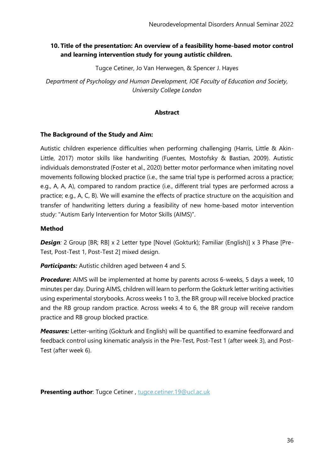## **10. Title of the presentation: An overview of a feasibility home-based motor control and learning intervention study for young autistic children.**

Tugce Cetiner, Jo Van Herwegen, & Spencer J. Hayes

*Department of Psychology and Human Development, IOE Faculty of Education and Society, University College London*

#### **Abstract**

#### **The Background of the Study and Aim:**

Autistic children experience difficulties when performing challenging (Harris, Little & Akin-Little, 2017) motor skills like handwriting (Fuentes, Mostofsky & Bastian, 2009). Autistic individuals demonstrated (Foster et al., 2020) better motor performance when imitating novel movements following blocked practice (i.e., the same trial type is performed across a practice; e.g., A, A, A), compared to random practice (i.e., different trial types are performed across a practice; e.g., A, C, B). We will examine the effects of practice structure on the acquisition and transfer of handwriting letters during a feasibility of new home-based motor intervention study: "Autism Early Intervention for Motor Skills (AIMS)".

#### **Method**

**Design**: 2 Group [BR; RB] x 2 Letter type [Novel (Gokturk); Familiar (English)] x 3 Phase [Pre-Test, Post-Test 1, Post-Test 2] mixed design.

*Participants:* Autistic children aged between 4 and 5.

**Procedure:** AIMS will be implemented at home by parents across 6-weeks, 5 days a week, 10 minutes per day. During AIMS, children will learn to perform the Gokturk letter writing activities using experimental storybooks. Across weeks 1 to 3, the BR group will receive blocked practice and the RB group random practice. Across weeks 4 to 6, the BR group will receive random practice and RB group blocked practice.

*Measures:* Letter-writing (Gokturk and English) will be quantified to examine feedforward and feedback control using kinematic analysis in the Pre-Test, Post-Test 1 (after week 3), and Post-Test (after week 6).

**Presenting author**: Tugce Cetiner , [tugce.cetiner.19@ucl.ac.uk](mailto:tugce.cetiner.19@ucl.ac.uk)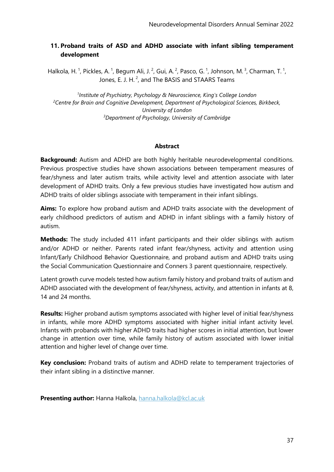# **11. Proband traits of ASD and ADHD associate with infant sibling temperament development**

Halkola, H.<sup>1</sup>, Pickles, A.<sup>1</sup>, Begum Ali, J.<sup>2</sup>, Gui, A.<sup>2</sup>, Pasco, G.<sup>1</sup>, Johnson, M.<sup>3</sup>, Charman, T.<sup>1</sup>, Jones, E. J. H.<sup>2</sup>, and The BASIS and STAARS Teams

 *Institute of Psychiatry, Psychology & Neuroscience, King's College London Centre for Brain and Cognitive Development, Department of Psychological Sciences, Birkbeck, University of London Department of Psychology, University of Cambridge*

### **Abstract**

**Background:** Autism and ADHD are both highly heritable neurodevelopmental conditions. Previous prospective studies have shown associations between temperament measures of fear/shyness and later autism traits, while activity level and attention associate with later development of ADHD traits. Only a few previous studies have investigated how autism and ADHD traits of older siblings associate with temperament in their infant siblings.

**Aims:** To explore how proband autism and ADHD traits associate with the development of early childhood predictors of autism and ADHD in infant siblings with a family history of autism.

**Methods:** The study included 411 infant participants and their older siblings with autism and/or ADHD or neither. Parents rated infant fear/shyness, activity and attention using Infant/Early Childhood Behavior Questionnaire, and proband autism and ADHD traits using the Social Communication Questionnaire and Conners 3 parent questionnaire, respectively.

Latent growth curve models tested how autism family history and proband traits of autism and ADHD associated with the development of fear/shyness, activity, and attention in infants at 8, 14 and 24 months.

**Results:** Higher proband autism symptoms associated with higher level of initial fear/shyness in infants, while more ADHD symptoms associated with higher initial infant activity level. Infants with probands with higher ADHD traits had higher scores in initial attention, but lower change in attention over time, while family history of autism associated with lower initial attention and higher level of change over time.

**Key conclusion:** Proband traits of autism and ADHD relate to temperament trajectories of their infant sibling in a distinctive manner.

**Presenting author:** Hanna Halkola, [hanna.halkola@kcl.ac.uk](mailto:hanna.halkola@kcl.ac.uk)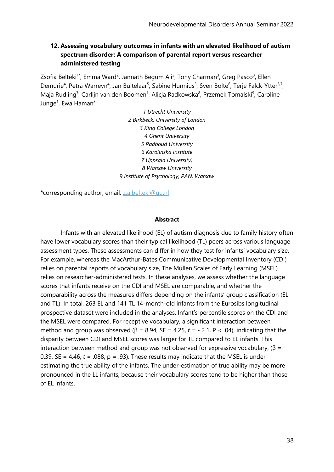# **12. Assessing vocabulary outcomes in infants with an elevated likelihood of autism spectrum disorder: A comparison of parental report versus researcher administered testing**

Zsofia Belteki<sup>1\*</sup>, Emma Ward<sup>2</sup>, Jannath Begum Ali<sup>2</sup>, Tony Charman<sup>3</sup>, Greg Pasco<sup>3</sup>, Ellen Demurie<sup>4</sup>, Petra Warreyn<sup>4</sup>, Jan Buitelaar<sup>5</sup>, Sabine Hunnius<sup>5</sup>, Sven Bolte<sup>6</sup>, Terje Falck-Ytter<sup>6,7</sup>, Maja Rudling<sup>7</sup>, Carlijn van den Boomen<sup>1</sup>, Alicja Radkowska<sup>8</sup>, Przemek Tomalski<sup>9</sup>, Caroline Junge<sup>1</sup>, Ewa Haman<sup>8</sup>

> *1 Utrecht University 2 Birkbeck, University of London 3 King College London 4 Ghent University 5 Radboud University 6 Karolinska Institute 7 Uppsala University) 8 Warsaw University 9 Institute of Psychology, PAN, Warsaw*

\*corresponding author, email: [z.a.belteki@uu.nl](mailto:z.a.belteki@uu.nl)

#### **Abstract**

Infants with an elevated likelihood (EL) of autism diagnosis due to family history often have lower vocabulary scores than their typical likelihood (TL) peers across various language assessment types. These assessments can differ in how they test for infants' vocabulary size. For example, whereas the MacArthur-Bates Communicative Developmental Inventory (CDI) relies on parental reports of vocabulary size, The Mullen Scales of Early Learning (MSEL) relies on researcher-administered tests. In these analyses, we assess whether the language scores that infants receive on the CDI and MSEL are comparable, and whether the comparability across the measures differs depending on the infants' group classification (EL and TL). In total, 263 EL and 141 TL 14-month-old infants from the Eurosibs longitudinal prospective dataset were included in the analyses. Infant's percentile scores on the CDI and the MSEL were compared. For receptive vocabulary, a significant interaction between method and group was observed (β = 8.94, SE = 4.25, t = - 2.1, P < .04), indicating that the disparity between CDI and MSEL scores was larger for TL compared to EL infants. This interaction between method and group was not observed for expressive vocabulary, (β = 0.39,  $SE = 4.46$ ,  $t = .088$ ,  $p = .93$ ). These results may indicate that the MSEL is underestimating the true ability of the infants. The under-estimation of true ability may be more pronounced in the LL infants, because their vocabulary scores tend to be higher than those of EL infants.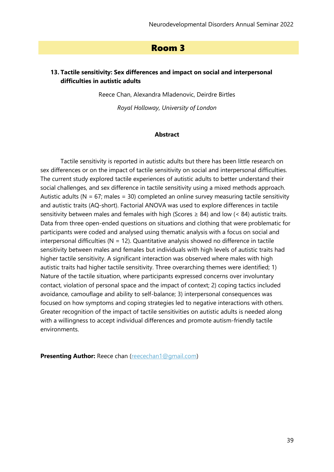# Room 3

# **13. Tactile sensitivity: Sex differences and impact on social and interpersonal difficulties in autistic adults**

Reece Chan, Alexandra Mladenovic, Deirdre Birtles

*Royal Holloway, University of London*

#### **Abstract**

Tactile sensitivity is reported in autistic adults but there has been little research on sex differences or on the impact of tactile sensitivity on social and interpersonal difficulties. The current study explored tactile experiences of autistic adults to better understand their social challenges, and sex difference in tactile sensitivity using a mixed methods approach. Autistic adults ( $N = 67$ ; males = 30) completed an online survey measuring tactile sensitivity and autistic traits (AQ-short). Factorial ANOVA was used to explore differences in tactile sensitivity between males and females with high (Scores  $\geq 84$ ) and low (< 84) autistic traits. Data from three open-ended questions on situations and clothing that were problematic for participants were coded and analysed using thematic analysis with a focus on social and interpersonal difficulties ( $N = 12$ ). Quantitative analysis showed no difference in tactile sensitivity between males and females but individuals with high levels of autistic traits had higher tactile sensitivity. A significant interaction was observed where males with high autistic traits had higher tactile sensitivity. Three overarching themes were identified; 1) Nature of the tactile situation, where participants expressed concerns over involuntary contact, violation of personal space and the impact of context; 2) coping tactics included avoidance, camouflage and ability to self-balance; 3) interpersonal consequences was focused on how symptoms and coping strategies led to negative interactions with others. Greater recognition of the impact of tactile sensitivities on autistic adults is needed along with a willingness to accept individual differences and promote autism-friendly tactile environments.

**Presenting Author:** Reece chan [\(reecechan1@gmail.com\)](mailto:reecechan1@gmail.com)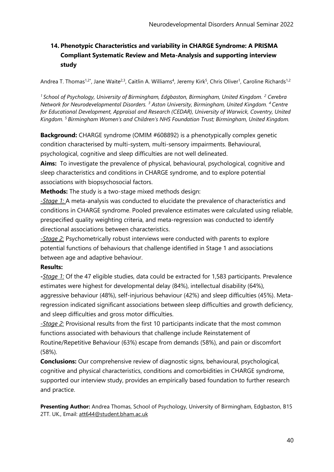# **14. Phenotypic Characteristics and variability in CHARGE Syndrome: A PRISMA Compliant Systematic Review and Meta-Analysis and supporting interview study**

Andrea T. Thomas<sup>1,2\*</sup>, Jane Waite<sup>2,3</sup>, Caitlin A. Williams<sup>4</sup>, Jeremy Kirk<sup>5</sup>, Chris Oliver<sup>1</sup>, Caroline Richards<sup>1,2</sup>

*<sup>1</sup>School of Psychology, University of Birmingham, Edgbaston, Birmingham, United Kingdom. <sup>2</sup> Cerebra Network for Neurodevelopmental Disorders. <sup>3</sup> Aston University, Birmingham, United Kingdom. <sup>4</sup>Centre for Educational Development, Appraisal and Research (CEDAR), University of Warwick, Coventry, United Kingdom. <sup>5</sup>Birmingham Women's and Children's NHS Foundation Trust; Birmingham, United Kingdom.*

**Background:** CHARGE syndrome (OMIM #608892) is a phenotypically complex genetic condition characterised by multi-system, multi-sensory impairments. Behavioural, psychological, cognitive and sleep difficulties are not well delineated.

**Aims:** To investigate the prevalence of physical, behavioural, psychological, cognitive and sleep characteristics and conditions in CHARGE syndrome, and to explore potential associations with biopsychosocial factors.

**Methods:** The study is a two-stage mixed methods design:

*-Stage 1:* A meta-analysis was conducted to elucidate the prevalence of characteristics and conditions in CHARGE syndrome. Pooled prevalence estimates were calculated using reliable, prespecified quality weighting criteria, and meta-regression was conducted to identify directional associations between characteristics.

*-Stage 2:* Psychometrically robust interviews were conducted with parents to explore potential functions of behaviours that challenge identified in Stage 1 and associations between age and adaptive behaviour.

# **Results:**

**-***Stage 1:* Of the 47 eligible studies, data could be extracted for 1,583 participants. Prevalence estimates were highest for developmental delay (84%), intellectual disability (64%), aggressive behaviour (48%), self-injurious behaviour (42%) and sleep difficulties (45%). Metaregression indicated significant associations between sleep difficulties and growth deficiency, and sleep difficulties and gross motor difficulties.

*-Stage 2:* Provisional results from the first 10 participants indicate that the most common functions associated with behaviours that challenge include Reinstatement of Routine/Repetitive Behaviour (63%) escape from demands (58%), and pain or discomfort (58%).

**Conclusions:** Our comprehensive review of diagnostic signs, behavioural, psychological, cognitive and physical characteristics, conditions and comorbidities in CHARGE syndrome, supported our interview study, provides an empirically based foundation to further research and practice.

**Presenting Author:** Andrea Thomas, School of Psychology, University of Birmingham, Edgbaston, B15 2TT. UK., Email: [att644@student.bham.ac.uk](mailto:att644@student.bham.ac.uk)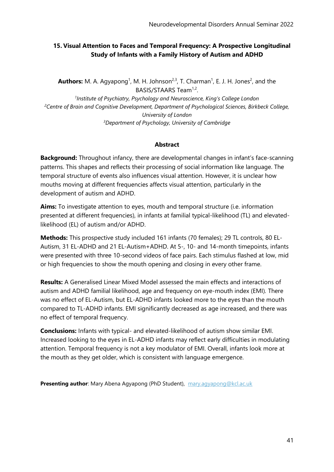# **15. Visual Attention to Faces and Temporal Frequency: A Prospective Longitudinal Study of Infants with a Family History of Autism and ADHD**

**Authors:** M. A. Agyapong<sup>1</sup>, M. H. Johnson<sup>2,3</sup>, T. Charman<sup>1</sup>, E. J. H. Jones<sup>2</sup>, and the BASIS/STAARS Team<sup>1,2</sup>.

<sup>1</sup> Institute of Psychiatry, Psychology and Neuroscience, King's College London *<sup>2</sup>Centre of Brain and Cognitive Development, Department of Psychological Sciences, Birkbeck College, University of London <sup>3</sup>Department of Psychology, University of Cambridge*

## **Abstract**

**Background:** Throughout infancy, there are developmental changes in infant's face-scanning patterns. This shapes and reflects their processing of social information like language. The temporal structure of events also influences visual attention. However, it is unclear how mouths moving at different frequencies affects visual attention, particularly in the development of autism and ADHD.

**Aims:** To investigate attention to eyes, mouth and temporal structure (i.e. information presented at different frequencies), in infants at familial typical-likelihood (TL) and elevatedlikelihood (EL) of autism and/or ADHD.

**Methods:** This prospective study included 161 infants (70 females); 29 TL controls, 80 EL-Autism, 31 EL-ADHD and 21 EL-Autism+ADHD. At 5-, 10- and 14-month timepoints, infants were presented with three 10-second videos of face pairs. Each stimulus flashed at low, mid or high frequencies to show the mouth opening and closing in every other frame.

**Results:** A Generalised Linear Mixed Model assessed the main effects and interactions of autism and ADHD familial likelihood, age and frequency on eye-mouth index (EMI)*.* There was no effect of EL-Autism, but EL-ADHD infants looked more to the eyes than the mouth compared to TL-ADHD infants. EMI significantly decreased as age increased, and there was no effect of temporal frequency.

**Conclusions:** Infants with typical- and elevated-likelihood of autism show similar EMI. Increased looking to the eyes in EL-ADHD infants may reflect early difficulties in modulating attention. Temporal frequency is not a key modulator of EMI. Overall, infants look more at the mouth as they get older, which is consistent with language emergence.

**Presenting author**: Mary Abena Agyapong (PhD Student), [mary.agyapong@kcl.ac.uk](mailto:mary.agyapong@kcl.ac.uk)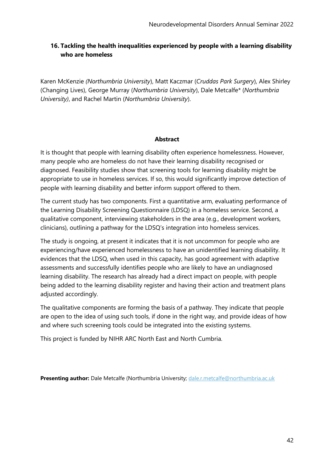# **16. Tackling the health inequalities experienced by people with a learning disability who are homeless**

Karen McKenzie *(Northumbria University*), Matt Kaczmar (*Cruddas Park Surgery*), Alex Shirley (Changing Lives), George Murray (*Northumbria University*), Dale Metcalfe\* (*Northumbria University)*, and Rachel Martin (*Northumbria University*).

### **Abstract**

It is thought that people with learning disability often experience homelessness. However, many people who are homeless do not have their learning disability recognised or diagnosed. Feasibility studies show that screening tools for learning disability might be appropriate to use in homeless services. If so, this would significantly improve detection of people with learning disability and better inform support offered to them.

The current study has two components. First a quantitative arm, evaluating performance of the Learning Disability Screening Questionnaire (LDSQ) in a homeless service. Second, a qualitative component, interviewing stakeholders in the area (e.g., development workers, clinicians), outlining a pathway for the LDSQ's integration into homeless services.

The study is ongoing, at present it indicates that it is not uncommon for people who are experiencing/have experienced homelessness to have an unidentified learning disability. It evidences that the LDSQ, when used in this capacity, has good agreement with adaptive assessments and successfully identifies people who are likely to have an undiagnosed learning disability. The research has already had a direct impact on people, with people being added to the learning disability register and having their action and treatment plans adjusted accordingly.

The qualitative components are forming the basis of a pathway. They indicate that people are open to the idea of using such tools, if done in the right way, and provide ideas of how and where such screening tools could be integrated into the existing systems.

This project is funded by NIHR ARC North East and North Cumbria.

**Presenting author:** Dale Metcalfe (Northumbria University; [dale.r.metcalfe@northumbria.ac.uk](mailto:dale.r.metcalfe@northumbria.ac.uk)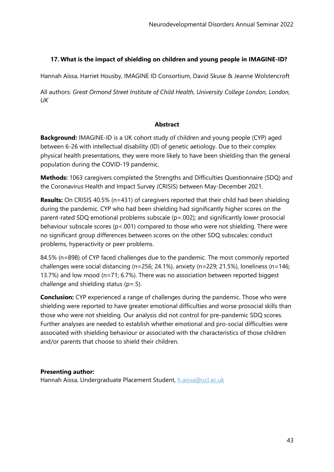# **17. What is the impact of shielding on children and young people in IMAGINE-ID?**

Hannah Aissa, Harriet Housby, IMAGINE ID Consortium, David Skuse & Jeanne Wolstencroft

All authors: *Great Ormond Street Institute of Child Health, University College London, London, UK*

#### **Abstract**

**Background:** IMAGINE-ID is a UK cohort study of children and young people (CYP) aged between 6-26 with intellectual disability (ID) of genetic aetiology. Due to their complex physical health presentations, they were more likely to have been shielding than the general population during the COVID-19 pandemic.

**Methods:** 1063 caregivers completed the Strengths and Difficulties Questionnaire (SDQ) and the Coronavirus Health and Impact Survey (CRISIS) between May-December 2021.

**Results:** On CRISIS 40.5% (n=431) of caregivers reported that their child had been shielding during the pandemic. CYP who had been shielding had significantly higher scores on the parent-rated SDQ emotional problems subscale (p=.002); and significantly lower prosocial behaviour subscale scores (p<.001) compared to those who were not shielding. There were no significant group differences between scores on the other SDQ subscales: conduct problems, hyperactivity or peer problems.

84.5% (n=898) of CYP faced challenges due to the pandemic. The most commonly reported challenges were social distancing (n=256; 24.1%), anxiety (n=229; 21.5%), loneliness (n=146; 13.7%) and low mood (n=71; 6.7%). There was no association between reported biggest challenge and shielding status  $(p=.5)$ .

**Conclusion:** CYP experienced a range of challenges during the pandemic. Those who were shielding were reported to have greater emotional difficulties and worse prosocial skills than those who were not shielding. Our analysis did not control for pre-pandemic SDQ scores. Further analyses are needed to establish whether emotional and pro-social difficulties were associated with shielding behaviour or associated with the characteristics of those children and/or parents that choose to shield their children.

### **Presenting author:**

Hannah Aissa, Undergraduate Placement Student, [h.aissa@ucl.ac.uk](mailto:h.aissa@ucl.ac.uk)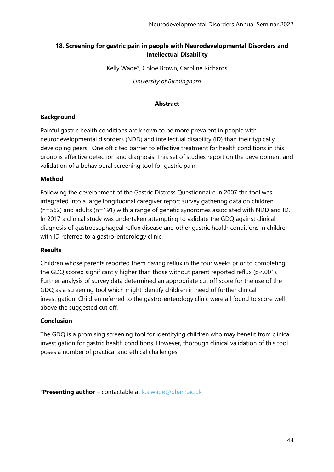# **18. Screening for gastric pain in people with Neurodevelopmental Disorders and Intellectual Disability**

Kelly Wade\*, Chloe Brown, Caroline Richards

*University of Birmingham*

### **Abstract**

## **Background**

Painful gastric health conditions are known to be more prevalent in people with neurodevelopmental disorders (NDD) and intellectual disability (ID) than their typically developing peers. One oft cited barrier to effective treatment for health conditions in this group is effective detection and diagnosis. This set of studies report on the development and validation of a behavioural screening tool for gastric pain.

## **Method**

Following the development of the Gastric Distress Questionnaire in 2007 the tool was integrated into a large longitudinal caregiver report survey gathering data on children (n=562) and adults (n=191) with a range of genetic syndromes associated with NDD and ID. In 2017 a clinical study was undertaken attempting to validate the GDQ against clinical diagnosis of gastroesophageal reflux disease and other gastric health conditions in children with ID referred to a gastro-enterology clinic.

### **Results**

Children whose parents reported them having reflux in the four weeks prior to completing the GDQ scored significantly higher than those without parent reported reflux (p<.001). Further analysis of survey data determined an appropriate cut off score for the use of the GDQ as a screening tool which might identify children in need of further clinical investigation. Children referred to the gastro-enterology clinic were all found to score well above the suggested cut off.

### **Conclusion**

The GDQ is a promising screening tool for identifying children who may benefit from clinical investigation for gastric health conditions. However, thorough clinical validation of this tool poses a number of practical and ethical challenges.

\***Presenting author** – contactable at [k.a.wade@bham.ac.uk](mailto:k.a.wade@bham.ac.uk)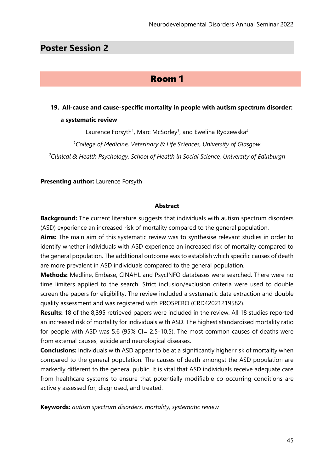# **Poster Session 2**

# Room 1

# **19. All-cause and cause-specific mortality in people with autism spectrum disorder: a systematic review**

Laurence Forsyth<sup>1</sup>, Marc McSorley<sup>1</sup>, and Ewelina Rydzewska<sup>2</sup>

*<sup>1</sup>College of Medicine, Veterinary & Life Sciences, University of Glasgow <sup>2</sup>Clinical & Health Psychology, School of Health in Social Science, University of Edinburgh*

**Presenting author:** Laurence Forsyth

#### **Abstract**

**Background:** The current literature suggests that individuals with autism spectrum disorders (ASD) experience an increased risk of mortality compared to the general population.

**Aims:** The main aim of this systematic review was to synthesise relevant studies in order to identify whether individuals with ASD experience an increased risk of mortality compared to the general population. The additional outcome was to establish which specific causes of death are more prevalent in ASD individuals compared to the general population.

**Methods:** Medline, Embase, CINAHL and PsycINFO databases were searched. There were no time limiters applied to the search. Strict inclusion/exclusion criteria were used to double screen the papers for eligibility. The review included a systematic data extraction and double quality assessment and was registered with PROSPERO (CRD42021219582).

**Results:** 18 of the 8,395 retrieved papers were included in the review. All 18 studies reported an increased risk of mortality for individuals with ASD. The highest standardised mortality ratio for people with ASD was 5.6 (95% CI= 2.5-10.5). The most common causes of deaths were from external causes, suicide and neurological diseases.

**Conclusions:** Individuals with ASD appear to be at a significantly higher risk of mortality when compared to the general population. The causes of death amongst the ASD population are markedly different to the general public. It is vital that ASD individuals receive adequate care from healthcare systems to ensure that potentially modifiable co-occurring conditions are actively assessed for, diagnosed, and treated.

**Keywords:** *autism spectrum disorders, mortality, systematic review*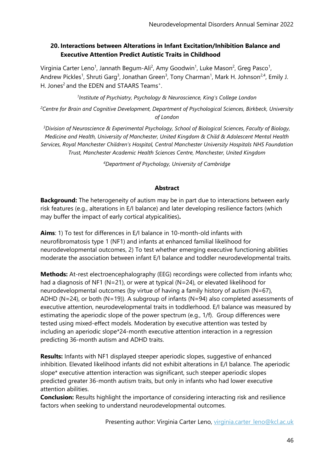# **20. Interactions between Alterations in Infant Excitation/Inhibition Balance and Executive Attention Predict Autistic Traits in Childhood**

Virginia Carter Leno<sup>1</sup>, Jannath Begum-Ali<sup>2</sup>, Amy Goodwin<sup>1</sup>, Luke Mason<sup>2</sup>, Greg Pasco<sup>1</sup>, Andrew Pickles<sup>1</sup>, Shruti Garg<sup>3</sup>, Jonathan Green<sup>3</sup>, Tony Charman<sup>1</sup>, Mark H. Johnson<sup>2,4</sup>, Emily J. H. Jones<sup>2</sup> and the EDEN and STAARS Teams<sup>+</sup>.

*1 Institute of Psychiatry, Psychology & Neuroscience, King's College London*

*<sup>2</sup>Centre for Brain and Cognitive Development, Department of Psychological Sciences, Birkbeck, University of London*

*<sup>3</sup>Division of Neuroscience & Experimental Psychology, School of Biological Sciences, Faculty of Biology, Medicine and Health, University of Manchester, United Kingdom & Child & Adolescent Mental Health Services, Royal Manchester Children's Hospital, Central Manchester University Hospitals NHS Foundation Trust, Manchester Academic Health Sciences Centre, Manchester, United Kingdom*

*<sup>4</sup>Department of Psychology, University of Cambridge*

### **Abstract**

**Background:** The heterogeneity of autism may be in part due to interactions between early risk features (e.g., alterations in E/I balance) and later developing resilience factors (which may buffer the impact of early cortical atypicalities)**.**

**Aims**: 1) To test for differences in E/I balance in 10-month-old infants with neurofibromatosis type 1 (NF1) and infants at enhanced familial likelihood for neurodevelopmental outcomes, 2) To test whether emerging executive functioning abilities moderate the association between infant E/I balance and toddler neurodevelopmental traits.

**Methods:** At-rest electroencephalography (EEG) recordings were collected from infants who; had a diagnosis of NF1 (N=21), or were at typical (N=24), or elevated likelihood for neurodevelopmental outcomes (by virtue of having a family history of autism  $(N=67)$ , ADHD (N=24), or both (N=19)). A subgroup of infants (N=94) also completed assessments of executive attention, neurodevelopmental traits in toddlerhood. E/I balance was measured by estimating the aperiodic slope of the power spectrum (e.g., 1/f). Group differences were tested using mixed-effect models. Moderation by executive attention was tested by including an aperiodic slope\*24-month executive attention interaction in a regression predicting 36-month autism and ADHD traits.

**Results:** Infants with NF1 displayed steeper aperiodic slopes, suggestive of enhanced inhibition. Elevated likelihood infants did not exhibit alterations in E/I balance. The aperiodic slope\* executive attention interaction was significant, such steeper aperiodic slopes predicted greater 36-month autism traits, but only in infants who had lower executive attention abilities.

**Conclusion:** Results highlight the importance of considering interacting risk and resilience factors when seeking to understand neurodevelopmental outcomes.

Presenting author: Virginia Carter Leno, [virginia.carter\\_leno@kcl.ac.uk](mailto:virginia.carter_leno@kcl.ac.uk)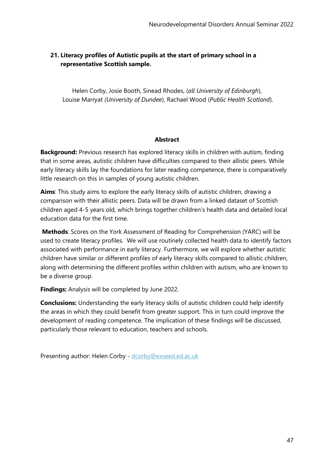# **21. Literacy profiles of Autistic pupils at the start of primary school in a representative Scottish sample.**

Helen Corby, Josie Booth, Sinead Rhodes, (*all University of Edinburgh*), Louise Marryat *(University of Dundee*), Rachael Wood (*Public Health Scotland*).

## **Abstract**

**Background:** Previous research has explored literacy skills in children with autism, finding that in some areas, autistic children have difficulties compared to their allistic peers. While early literacy skills lay the foundations for later reading competence, there is comparatively little research on this in samples of young autistic children.

**Aims**: This study aims to explore the early literacy skills of autistic children, drawing a comparison with their allistic peers. Data will be drawn from a linked dataset of Scottish children aged 4-5 years old, which brings together children's health data and detailed local education data for the first time.

**Methods**: Scores on the York Assessment of Reading for Comprehension (YARC) will be used to create literacy profiles. We will use routinely collected health data to identify factors associated with performance in early literacy. Furthermore, we will explore whether autistic children have similar or different profiles of early literacy skills compared to allistic children, along with determining the different profiles within children with autism, who are known to be a diverse group.

**Findings:** Analysis will be completed by June 2022.

**Conclusions:** Understanding the early literacy skills of autistic children could help identify the areas in which they could benefit from greater support. This in turn could improve the development of reading competence. The implication of these findings will be discussed, particularly those relevant to education, teachers and schools.

Presenting author: Helen Corby - [dcorby@exseed.ed.ac.uk](mailto:dcorby@exseed.ed.ac.uk)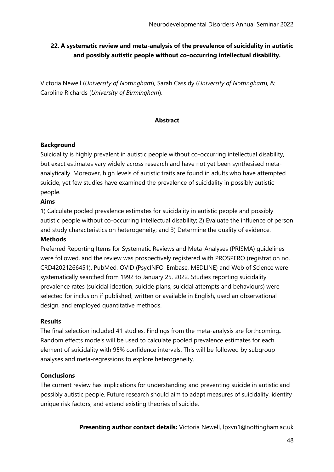# **22. A systematic review and meta-analysis of the prevalence of suicidality in autistic and possibly autistic people without co-occurring intellectual disability.**

Victoria Newell (*University of Nottingham*), Sarah Cassidy (*University of Nottingham*), & Caroline Richards (*University of Birmingham*).

### **Abstract**

### **Background**

Suicidality is highly prevalent in autistic people without co-occurring intellectual disability, but exact estimates vary widely across research and have not yet been synthesised metaanalytically. Moreover, high levels of autistic traits are found in adults who have attempted suicide, yet few studies have examined the prevalence of suicidality in possibly autistic people.

## **Aims**

1) Calculate pooled prevalence estimates for suicidality in autistic people and possibly autistic people without co-occurring intellectual disability; 2) Evaluate the influence of person and study characteristics on heterogeneity; and 3) Determine the quality of evidence.

### **Methods**

Preferred Reporting Items for Systematic Reviews and Meta-Analyses (PRISMA) guidelines were followed, and the review was prospectively registered with PROSPERO (registration no. CRD42021266451). PubMed, OVID (PsycINFO, Embase, MEDLINE) and Web of Science were systematically searched from 1992 to January 25, 2022. Studies reporting suicidality prevalence rates (suicidal ideation, suicide plans, suicidal attempts and behaviours) were selected for inclusion if published, written or available in English, used an observational design, and employed quantitative methods.

### **Results**

The final selection included 41 studies. Findings from the meta-analysis are forthcoming**.**  Random effects models will be used to calculate pooled prevalence estimates for each element of suicidality with 95% confidence intervals. This will be followed by subgroup analyses and meta-regressions to explore heterogeneity.

### **Conclusions**

The current review has implications for understanding and preventing suicide in autistic and possibly autistic people. Future research should aim to adapt measures of suicidality, identify unique risk factors, and extend existing theories of suicide.

**Presenting author contact details:** Victoria Newell, lpxvn1@nottingham.ac.uk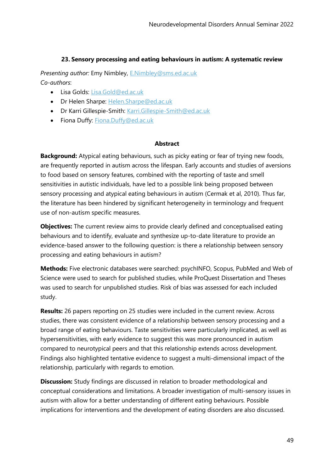### **23. Sensory processing and eating behaviours in autism: A systematic review**

*Presenting author:* Emy Nimbley, [E.Nimbley@sms.ed.ac.uk](mailto:E.Nimbley@sms.ed.ac.uk) *Co-authors*:

- Lisa Golds: [Lisa.Gold@ed.ac.uk](mailto:Lisa.Gold@ed.ac.uk)
- Dr Helen Sharpe: [Helen.Sharpe@ed.ac.uk](mailto:Helen.Sharpe@ed.ac.uk)
- Dr Karri Gillespie-Smith: [Karri.Gillespie-Smith@ed.ac.uk](mailto:Karri.Gillespie-Smith@ed.ac.uk)
- Fiona Duffy: [Fiona.Duffy@ed.ac.uk](mailto:Fiona.Duffy@ed.ac.uk)

### **Abstract**

**Background:** Atypical eating behaviours, such as picky eating or fear of trying new foods, are frequently reported in autism across the lifespan. Early accounts and studies of aversions to food based on sensory features, combined with the reporting of taste and smell sensitivities in autistic individuals, have led to a possible link being proposed between sensory processing and atypical eating behaviours in autism (Cermak et al, 2010). Thus far, the literature has been hindered by significant heterogeneity in terminology and frequent use of non-autism specific measures.

**Objectives:** The current review aims to provide clearly defined and conceptualised eating behaviours and to identify, evaluate and synthesize up-to-date literature to provide an evidence-based answer to the following question: is there a relationship between sensory processing and eating behaviours in autism?

**Methods:** Five electronic databases were searched: psychINFO, Scopus, PubMed and Web of Science were used to search for published studies, while ProQuest Dissertation and Theses was used to search for unpublished studies. Risk of bias was assessed for each included study.

**Results:** 26 papers reporting on 25 studies were included in the current review. Across studies, there was consistent evidence of a relationship between sensory processing and a broad range of eating behaviours. Taste sensitivities were particularly implicated, as well as hypersensitivities, with early evidence to suggest this was more pronounced in autism compared to neurotypical peers and that this relationship extends across development. Findings also highlighted tentative evidence to suggest a multi-dimensional impact of the relationship, particularly with regards to emotion.

**Discussion:** Study findings are discussed in relation to broader methodological and conceptual considerations and limitations. A broader investigation of multi-sensory issues in autism with allow for a better understanding of different eating behaviours. Possible implications for interventions and the development of eating disorders are also discussed.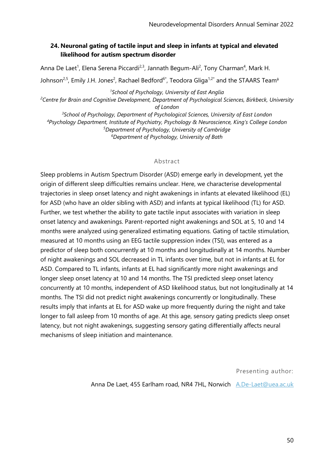# **24. Neuronal gating of tactile input and sleep in infants at typical and elevated likelihood for autism spectrum disorder**

Anna De Laet<sup>1</sup>, Elena Serena Piccardi<sup>2,3</sup>, Jannath Begum-Ali<sup>2</sup>, Tony Charman<sup>4</sup>, Mark H. Johnson<sup>2,5</sup>, Emily J.H. Jones<sup>2</sup>, Rachael Bedford<sup>6\*</sup>, Teodora Gliga<sup>1,2\*</sup> and the STAARS Team<sup>¢</sup>

*School of Psychology, University of East Anglia Centre for Brain and Cognitive Development, Department of Psychological Sciences, Birkbeck, University of London School of Psychology, Department of Psychological Sciences, University of East London Psychology Department, Institute of Psychiatry, Psychology & Neuroscience, King's College London Department of Psychology, University of Cambridge Department of Psychology, University of Bath*

#### Abstract

Sleep problems in Autism Spectrum Disorder (ASD) emerge early in development, yet the origin of different sleep difficulties remains unclear. Here, we characterise developmental trajectories in sleep onset latency and night awakenings in infants at elevated likelihood (EL) for ASD (who have an older sibling with ASD) and infants at typical likelihood (TL) for ASD. Further, we test whether the ability to gate tactile input associates with variation in sleep onset latency and awakenings. Parent-reported night awakenings and SOL at 5, 10 and 14 months were analyzed using generalized estimating equations. Gating of tactile stimulation, measured at 10 months using an EEG tactile suppression index (TSI), was entered as a predictor of sleep both concurrently at 10 months and longitudinally at 14 months. Number of night awakenings and SOL decreased in TL infants over time, but not in infants at EL for ASD. Compared to TL infants, infants at EL had significantly more night awakenings and longer sleep onset latency at 10 and 14 months. The TSI predicted sleep onset latency concurrently at 10 months, independent of ASD likelihood status, but not longitudinally at 14 months. The TSI did not predict night awakenings concurrently or longitudinally. These results imply that infants at EL for ASD wake up more frequently during the night and take longer to fall asleep from 10 months of age. At this age, sensory gating predicts sleep onset latency, but not night awakenings, suggesting sensory gating differentially affects neural mechanisms of sleep initiation and maintenance.

Presenting author:

Anna De Laet, 455 Earlham road, NR4 7HL, Norwich [A.De-Laet@uea.ac.uk](mailto:A.De-Laet@uea.ac.uk)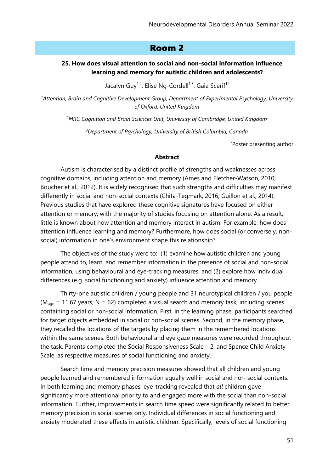# Room 2

### **25. How does visual attention to social and non-social information influence learning and memory for autistic children and adolescents?**

Jacalyn Guy<sup>1,2</sup>, Elise Ng-Cordell<sup>1,3</sup>, Gaia Scerif<sup>1\*</sup>

*<sup>1</sup>Attention, Brain and Cognitive Development Group, Department of Experimental Psychology, University of Oxford, United Kingdom*

*<sup>2</sup>MRC Cognition and Brain Sciences Unit, University of Cambridge, United Kingdom*

*<sup>3</sup>Department of Psychology, University of British Columbia, Canada*

\*Poster presenting author

#### **Abstract**

Autism is characterised by a distinct profile of strengths and weaknesses across cognitive domains, including attention and memory (Ames and Fletcher-Watson, 2010; Boucher et al., 2012). It is widely recognised that such strengths and difficulties may manifest differently in social and non-social contexts (Chita-Tegmark, 2016; Guillon et al., 2014). Previous studies that have explored these cognitive signatures have focused on either attention or memory, with the majority of studies focusing on attention alone. As a result, little is known about how attention and memory interact in autism. For example, how does attention influence learning and memory? Furthermore, how does social (or conversely, nonsocial) information in one's environment shape this relationship?

The objectives of the study were to: (1) examine how autistic children and young people attend to, learn, and remember information in the presence of social and non-social information, using behavioural and eye-tracking measures, and (2) explore how individual differences (e.g. social functioning and anxiety) influence attention and memory.

Thirty-one autistic children / young people and 31 neurotypical children / you people ( $M_{\text{aqe}}$  = 11.67 years; N = 62) completed a visual search and memory task, including scenes containing social or non-social information. First, in the learning phase, participants searched for target objects embedded in social or non-social scenes. Second, in the memory phase, they recalled the locations of the targets by placing them in the remembered locations within the same scenes. Both behavioural and eye gaze measures were recorded throughout the task. Parents completed the Social Responsiveness Scale – 2, and Spence Child Anxiety Scale, as respective measures of social functioning and anxiety.

Search time and memory precision measures showed that all children and young people learned and remembered information equally well in social and non-social contexts. In both learning and memory phases, eye-tracking revealed that *all* children gave significantly more attentional priority to and engaged more with the social than non-social information. Further, improvements in search time speed were significantly related to better memory precision in social scenes only. Individual differences in social functioning and anxiety moderated these effects in autistic children. Specifically, levels of social functioning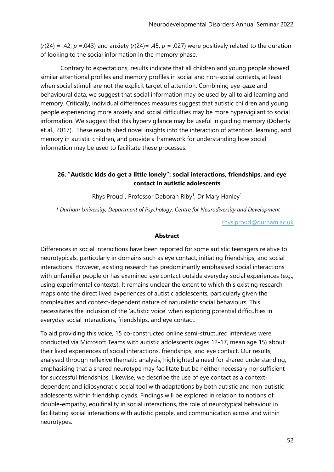$(r(24) = .42, p = .043)$  and anxiety  $(r(24) = .45, p = .027)$  were positively related to the duration of looking to the social information in the memory phase.

Contrary to expectations, results indicate that all children and young people showed similar attentional profiles and memory profiles in social and non-social contexts, at least when social stimuli are not the explicit target of attention. Combining eye-gaze and behavioural data, we suggest that social information may be used by all to aid learning and memory. Critically, individual differences measures suggest that autistic children and young people experiencing more anxiety and social difficulties may be more hypervigilant to social information. We suggest that this hypervigilance may be useful in guiding memory (Doherty et al., 2017). These results shed novel insights into the interaction of attention, learning, and memory in autistic children, and provide a framework for understanding how social information may be used to facilitate these processes.

# **26. "Autistic kids do get a little lonely": social interactions, friendships, and eye contact in autistic adolescents**

Rhys Proud<sup>1</sup>, Professor Deborah Riby<sup>1</sup>, Dr Mary Hanley<sup>1</sup>

*1 Durham University, Department of Psychology, Centre for Neurodiversity and Development*

[rhys.proud@durham.ac.uk](mailto:rhys.proud@durham.ac.uk)

#### **Abstract**

Differences in social interactions have been reported for some autistic teenagers relative to neurotypicals, particularly in domains such as eye contact, initiating friendships, and social interactions. However, existing research has predominantly emphasised social interactions with unfamiliar people or has examined eye contact outside everyday social experiences (e.g., using experimental contexts). It remains unclear the extent to which this existing research maps onto the direct lived experiences of autistic adolescents, particularly given the complexities and context-dependent nature of naturalistic social behaviours. This necessitates the inclusion of the 'autistic voice' when exploring potential difficulties in everyday social interactions, friendships, and eye contact.

To aid providing this voice, 15 co-constructed online semi-structured interviews were conducted via Microsoft Teams with autistic adolescents (ages 12-17, mean age 15) about their lived experiences of social interactions, friendships, and eye contact. Our results, analysed through reflexive thematic analysis, highlighted a need for shared understanding; emphasising that a shared neurotype may facilitate but be neither necessary nor sufficient for successful friendships. Likewise, we describe the use of eye contact as a contextdependent and idiosyncratic social tool with adaptations by both autistic and non-autistic adolescents within friendship dyads. Findings will be explored in relation to notions of double-empathy, equifinality in social interactions, the role of neurotypical behaviour in facilitating social interactions with autistic people, and communication across and within neurotypes.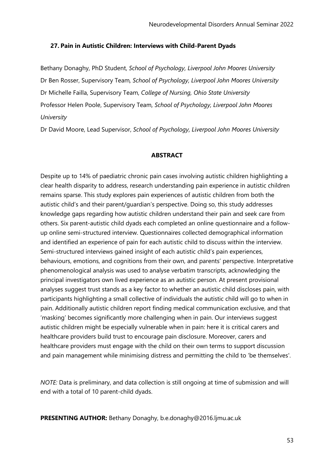#### **27. Pain in Autistic Children: Interviews with Child-Parent Dyads**

Bethany Donaghy, PhD Student, *School of Psychology, Liverpool John Moores University* Dr Ben Rosser, Supervisory Team*, School of Psychology, Liverpool John Moores University* Dr Michelle Failla, Supervisory Team, *College of Nursing, Ohio State University* Professor Helen Poole, Supervisory Team*, School of Psychology, Liverpool John Moores University*

Dr David Moore, Lead Supervisor, *School of Psychology, Liverpool John Moores University*

#### **ABSTRACT**

Despite up to 14% of paediatric chronic pain cases involving autistic children highlighting a clear health disparity to address, research understanding pain experience in autistic children remains sparse. This study explores pain experiences of autistic children from both the autistic child's and their parent/guardian's perspective. Doing so, this study addresses knowledge gaps regarding how autistic children understand their pain and seek care from others. Six parent-autistic child dyads each completed an online questionnaire and a followup online semi-structured interview. Questionnaires collected demographical information and identified an experience of pain for each autistic child to discuss within the interview. Semi-structured interviews gained insight of each autistic child's pain experiences, behaviours, emotions, and cognitions from their own, and parents' perspective. Interpretative phenomenological analysis was used to analyse verbatim transcripts, acknowledging the principal investigators own lived experience as an autistic person. At present provisional analyses suggest trust stands as a key factor to whether an autistic child discloses pain, with participants highlighting a small collective of individuals the autistic child will go to when in pain. Additionally autistic children report finding medical communication exclusive, and that 'masking' becomes significantly more challenging when in pain. Our interviews suggest autistic children might be especially vulnerable when in pain: here it is critical carers and healthcare providers build trust to encourage pain disclosure. Moreover, carers and healthcare providers must engage with the child on their own terms to support discussion and pain management while minimising distress and permitting the child to 'be themselves'.

*NOTE:* Data is preliminary, and data collection is still ongoing at time of submission and will end with a total of 10 parent-child dyads.

**PRESENTING AUTHOR:** Bethany Donaghy, b.e.donaghy@2016.ljmu.ac.uk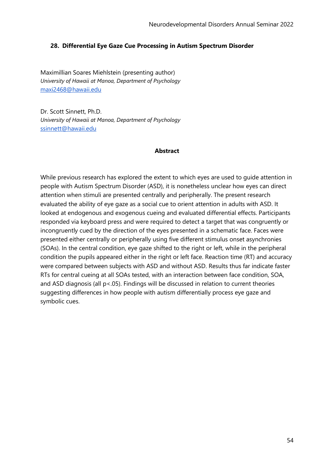#### **28. Differential Eye Gaze Cue Processing in Autism Spectrum Disorder**

Maximillian Soares Miehlstein (presenting author) *University of Hawaii at Manoa, Department of Psychology* [maxi2468@hawaii.edu](mailto:maxi2468@hawaii.edu)

Dr. Scott Sinnett, Ph.D. *University of Hawaii at Manoa, Department of Psychology* [ssinnett@hawaii.edu](mailto:ssinnett@hawaii.edu)

#### **Abstract**

While previous research has explored the extent to which eyes are used to guide attention in people with Autism Spectrum Disorder (ASD), it is nonetheless unclear how eyes can direct attention when stimuli are presented centrally and peripherally. The present research evaluated the ability of eye gaze as a social cue to orient attention in adults with ASD. It looked at endogenous and exogenous cueing and evaluated differential effects. Participants responded via keyboard press and were required to detect a target that was congruently or incongruently cued by the direction of the eyes presented in a schematic face. Faces were presented either centrally or peripherally using five different stimulus onset asynchronies (SOAs). In the central condition, eye gaze shifted to the right or left, while in the peripheral condition the pupils appeared either in the right or left face. Reaction time (RT) and accuracy were compared between subjects with ASD and without ASD. Results thus far indicate faster RTs for central cueing at all SOAs tested, with an interaction between face condition, SOA, and ASD diagnosis (all  $p$ <.05). Findings will be discussed in relation to current theories suggesting differences in how people with autism differentially process eye gaze and symbolic cues.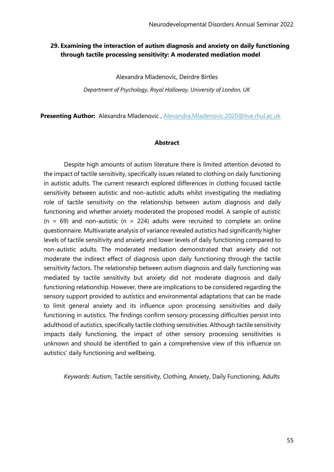## **29. Examining the interaction of autism diagnosis and anxiety on daily functioning through tactile processing sensitivity: A moderated mediation model**

Alexandra Mladenovic, Deirdre Birtles

*Department of Psychology, Royal Holloway, University of London, UK*

**Presenting Author:** Alexandra Mladenovic , [Alexandra.Mladenovic.2020@live.rhul.ac.uk](mailto:Alexandra.Mladenovic.2020@live.rhul.ac.uk)

#### **Abstract**

Despite high amounts of autism literature there is limited attention devoted to the impact of tactile sensitivity, specifically issues related to clothing on daily functioning in autistic adults. The current research explored differences in clothing focused tactile sensitivity between autistic and non-autistic adults whilst investigating the mediating role of tactile sensitivity on the relationship between autism diagnosis and daily functioning and whether anxiety moderated the proposed model. A sample of autistic  $(n = 69)$  and non-autistic  $(n = 224)$  adults were recruited to complete an online questionnaire. Multivariate analysis of variance revealed autistics had significantly higher levels of tactile sensitivity and anxiety and lower levels of daily functioning compared to non-autistic adults. The moderated mediation demonstrated that anxiety did not moderate the indirect effect of diagnosis upon daily functioning through the tactile sensitivity factors. The relationship between autism diagnosis and daily functioning was mediated by tactile sensitivity but anxiety did not moderate diagnosis and daily functioning relationship. However, there are implications to be considered regarding the sensory support provided to autistics and environmental adaptations that can be made to limit general anxiety and its influence upon processing sensitivities and daily functioning in autistics. The findings confirm sensory processing difficulties persist into adulthood of autistics, specifically tactile clothing sensitivities. Although tactile sensitivity impacts daily functioning, the impact of other sensory processing sensitivities is unknown and should be identified to gain a comprehensive view of this influence on autistics' daily functioning and wellbeing.

*Keywords*: Autism, Tactile sensitivity, Clothing, Anxiety, Daily Functioning, Adults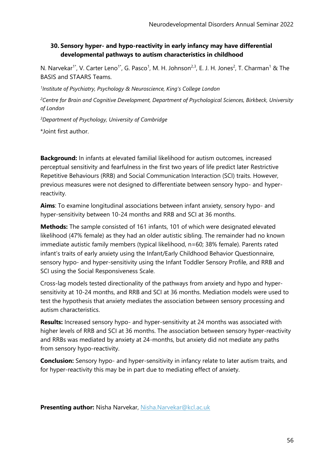# **30. Sensory hyper- and hypo-reactivity in early infancy may have differential developmental pathways to autism characteristics in childhood**

N. Narvekar<sup>1\*</sup>, V. Carter Leno<sup>1\*</sup>, G. Pasco<sup>1</sup>, M. H. Johnson<sup>2,3</sup>, E. J. H. Jones<sup>2</sup>, T. Charman<sup>1</sup> & The BASIS and STAARS Teams.

*1 Institute of Psychiatry, Psychology & Neuroscience, King's College London*

*<sup>2</sup>Centre for Brain and Cognitive Development, Department of Psychological Sciences, Birkbeck, University of London*

*<sup>3</sup>Department of Psychology, University of Cambridge*

\*Joint first author.

**Background:** In infants at elevated familial likelihood for autism outcomes, increased perceptual sensitivity and fearfulness in the first two years of life predict later Restrictive Repetitive Behaviours (RRB) and Social Communication Interaction (SCI) traits. However, previous measures were not designed to differentiate between sensory hypo- and hyperreactivity.

**Aims**: To examine longitudinal associations between infant anxiety, sensory hypo- and hyper-sensitivity between 10-24 months and RRB and SCI at 36 months.

**Methods:** The sample consisted of 161 infants, 101 of which were designated elevated likelihood (47% female) as they had an older autistic sibling. The remainder had no known immediate autistic family members (typical likelihood, n=60; 38% female). Parents rated infant's traits of early anxiety using the Infant/Early Childhood Behavior Questionnaire, sensory hypo- and hyper-sensitivity using the Infant Toddler Sensory Profile, and RRB and SCI using the Social Responsiveness Scale.

Cross-lag models tested directionality of the pathways from anxiety and hypo and hypersensitivity at 10-24 months, and RRB and SCI at 36 months. Mediation models were used to test the hypothesis that anxiety mediates the association between sensory processing and autism characteristics.

**Results:** Increased sensory hypo- and hyper-sensitivity at 24 months was associated with higher levels of RRB and SCI at 36 months. The association between sensory hyper-reactivity and RRBs was mediated by anxiety at 24-months, but anxiety did not mediate any paths from sensory hypo-reactivity.

**Conclusion:** Sensory hypo- and hyper-sensitivity in infancy relate to later autism traits, and for hyper-reactivity this may be in part due to mediating effect of anxiety.

**Presenting author:** Nisha Narvekar, [Nisha.Narvekar@kcl.ac.uk](mailto:Nisha.Narvekar@kcl.ac.uk)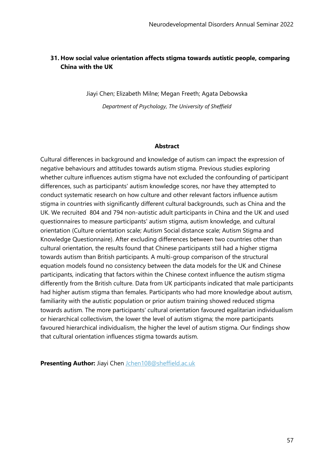# **31. How social value orientation affects stigma towards autistic people, comparing China with the UK**

Jiayi Chen; Elizabeth Milne; Megan Freeth; Agata Debowska *Department of Psychology, The University of Sheffield*

#### **Abstract**

Cultural differences in background and knowledge of autism can impact the expression of negative behaviours and attitudes towards autism stigma. Previous studies exploring whether culture influences autism stigma have not excluded the confounding of participant differences, such as participants' autism knowledge scores, nor have they attempted to conduct systematic research on how culture and other relevant factors influence autism stigma in countries with significantly different cultural backgrounds, such as China and the UK. We recruited 804 and 794 non-autistic adult participants in China and the UK and used questionnaires to measure participants' autism stigma, autism knowledge, and cultural orientation (Culture orientation scale; Autism Social distance scale; Autism Stigma and Knowledge Questionnaire). After excluding differences between two countries other than cultural orientation, the results found that Chinese participants still had a higher stigma towards autism than British participants. A multi-group comparison of the structural equation models found no consistency between the data models for the UK and Chinese participants, indicating that factors within the Chinese context influence the autism stigma differently from the British culture. Data from UK participants indicated that male participants had higher autism stigma than females. Participants who had more knowledge about autism, familiarity with the autistic population or prior autism training showed reduced stigma towards autism. The more participants' cultural orientation favoured egalitarian individualism or hierarchical collectivism, the lower the level of autism stigma; the more participants favoured hierarchical individualism, the higher the level of autism stigma. Our findings show that cultural orientation influences stigma towards autism.

**Presenting Author:** Jiayi Chen [Jchen108@sheffield.ac.uk](mailto:Jchen108@sheffield.ac.uk)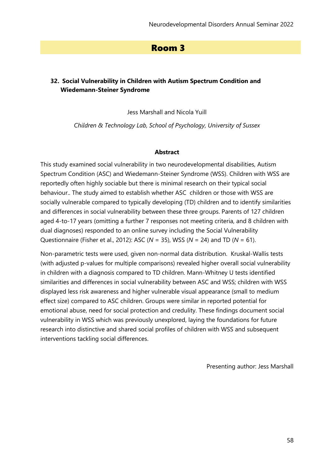# Room 3

# **32. Social Vulnerability in Children with Autism Spectrum Condition and Wiedemann-Steiner Syndrome**

Jess Marshall and Nicola Yuill

*Children & Technology Lab, School of Psychology, University of Sussex*

#### **Abstract**

This study examined social vulnerability in two neurodevelopmental disabilities, Autism Spectrum Condition (ASC) and Wiedemann-Steiner Syndrome (WSS). Children with WSS are reportedly often highly sociable but there is minimal research on their typical social behaviour.. The study aimed to establish whether ASC children or those with WSS are socially vulnerable compared to typically developing (TD) children and to identify similarities and differences in social vulnerability between these three groups. Parents of 127 children aged 4-to-17 years (omitting a further 7 responses not meeting criteria, and 8 children with dual diagnoses) responded to an online survey including the Social Vulnerability Questionnaire (Fisher et al., 2012): ASC (*N* = 35), WSS (*N* = 24) and TD (*N* = 61).

Non-parametric tests were used, given non-normal data distribution. Kruskal-Wallis tests (with adjusted p-values for multiple comparisons) revealed higher overall social vulnerability in children with a diagnosis compared to TD children. Mann-Whitney U tests identified similarities and differences in social vulnerability between ASC and WSS; children with WSS displayed less risk awareness and higher vulnerable visual appearance (small to medium effect size) compared to ASC children. Groups were similar in reported potential for emotional abuse, need for social protection and credulity. These findings document social vulnerability in WSS which was previously unexplored, laying the foundations for future research into distinctive and shared social profiles of children with WSS and subsequent interventions tackling social differences.

Presenting author: Jess Marshall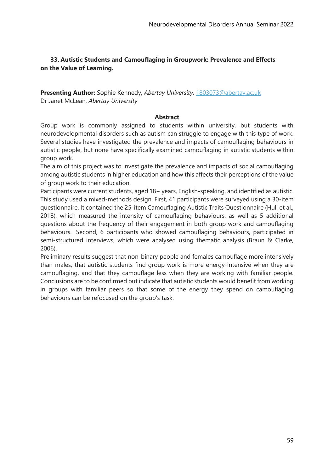# **33. Autistic Students and Camouflaging in Groupwork: Prevalence and Effects on the Value of Learning.**

**Presenting Author:** Sophie Kennedy, *Abertay University*. [1803073@abertay.ac.uk](mailto:1803073@abertay.ac.uk) Dr Janet McLean, *Abertay University*

### **Abstract**

Group work is commonly assigned to students within university, but students with neurodevelopmental disorders such as autism can struggle to engage with this type of work. Several studies have investigated the prevalence and impacts of camouflaging behaviours in autistic people, but none have specifically examined camouflaging in autistic students within group work.

The aim of this project was to investigate the prevalence and impacts of social camouflaging among autistic students in higher education and how this affects their perceptions of the value of group work to their education.

Participants were current students, aged 18+ years, English-speaking, and identified as autistic. This study used a mixed-methods design. First, 41 participants were surveyed using a 30-item questionnaire. It contained the 25-item Camouflaging Autistic Traits Questionnaire (Hull et al., 2018), which measured the intensity of camouflaging behaviours, as well as 5 additional questions about the frequency of their engagement in both group work and camouflaging behaviours. Second, 6 participants who showed camouflaging behaviours, participated in semi-structured interviews, which were analysed using thematic analysis (Braun & Clarke, 2006).

Preliminary results suggest that non-binary people and females camouflage more intensively than males, that autistic students find group work is more energy-intensive when they are camouflaging, and that they camouflage less when they are working with familiar people. Conclusions are to be confirmed but indicate that autistic students would benefit from working in groups with familiar peers so that some of the energy they spend on camouflaging behaviours can be refocused on the group's task.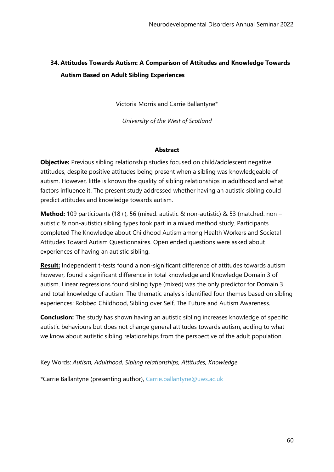# **34. Attitudes Towards Autism: A Comparison of Attitudes and Knowledge Towards Autism Based on Adult Sibling Experiences**

Victoria Morris and Carrie Ballantyne\*

*University of the West of Scotland*

### **Abstract**

**Objective:** Previous sibling relationship studies focused on child/adolescent negative attitudes, despite positive attitudes being present when a sibling was knowledgeable of autism. However, little is known the quality of sibling relationships in adulthood and what factors influence it. The present study addressed whether having an autistic sibling could predict attitudes and knowledge towards autism.

**Method:** 109 participants (18+), 56 (mixed: autistic & non-autistic) & 53 (matched: non – autistic & non-autistic) sibling types took part in a mixed method study. Participants completed The Knowledge about Childhood Autism among Health Workers and Societal Attitudes Toward Autism Questionnaires. Open ended questions were asked about experiences of having an autistic sibling.

**Result:** Independent t-tests found a non-significant difference of attitudes towards autism however, found a significant difference in total knowledge and Knowledge Domain 3 of autism. Linear regressions found sibling type (mixed) was the only predictor for Domain 3 and total knowledge of autism. The thematic analysis identified four themes based on sibling experiences: Robbed Childhood, Sibling over Self, The Future and Autism Awareness.

**Conclusion:** The study has shown having an autistic sibling increases knowledge of specific autistic behaviours but does not change general attitudes towards autism, adding to what we know about autistic sibling relationships from the perspective of the adult population.

Key Words: *Autism, Adulthood, Sibling relationships, Attitudes, Knowledge*

\*Carrie Ballantyne (presenting author), [Carrie.ballantyne@uws.ac.uk](mailto:Carrie.ballantyne@uws.ac.uk)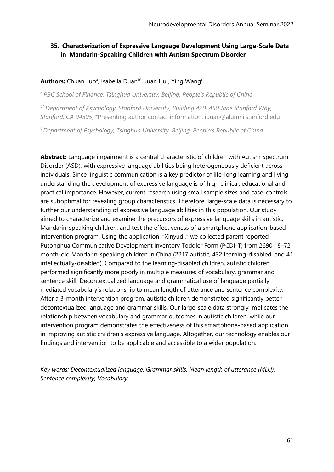# **35. Characterization of Expressive Language Development Using Large-Scale Data in Mandarin-Speaking Children with Autism Spectrum Disorder**

### **Authors:** Chuan Luo<sup>a</sup>, Isabella Duan<sup>b\*</sup>, Juan Liu<sup>c</sup>, Ying Wang<sup>c</sup>

*<sup>a</sup>PBC School of Finance, Tsinghua University, Beijing, People's Republic of China*

b\* *Department of Psychology, Stanford University, Building 420, 450 Jane Stanford Way, Stanford, CA 94305*; \*Presenting author contact information: [iduan@alumni.stanford.edu](mailto:iduan@alumni.stanford.edu)

*<sup>c</sup>Department of Psychology, Tsinghua University, Beijing, People's Republic of China*

**Abstract:** Language impairment is a central characteristic of children with Autism Spectrum Disorder (ASD), with expressive language abilities being heterogeneously deficient across individuals. Since linguistic communication is a key predictor of life-long learning and living, understanding the development of expressive language is of high clinical, educational and practical importance. However, current research using small sample sizes and case-controls are suboptimal for revealing group characteristics. Therefore, large-scale data is necessary to further our understanding of expressive language abilities in this population. Our study aimed to characterize and examine the precursors of expressive language skills in autistic, Mandarin-speaking children, and test the effectiveness of a smartphone application-based intervention program. Using the application, "Xinyudi," we collected parent reported Putonghua Communicative Development Inventory Toddler Form (PCDI-T) from 2690 18–72 month-old Mandarin-speaking children in China (2217 autistic, 432 learning-disabled, and 41 intellectually-disabled). Compared to the learning-disabled children, autistic children performed significantly more poorly in multiple measures of vocabulary, grammar and sentence skill. Decontextualized language and grammatical use of language partially mediated vocabulary's relationship to mean length of utterance and sentence complexity. After a 3-month intervention program, autistic children demonstrated significantly better decontextualized language and grammar skills. Our large-scale data strongly implicates the relationship between vocabulary and grammar outcomes in autistic children, while our intervention program demonstrates the effectiveness of this smartphone-based application in improving autistic children's expressive language. Altogether, our technology enables our findings and intervention to be applicable and accessible to a wider population.

*Key words: Decontextualized language, Grammar skills, Mean length of utterance (MLU), Sentence complexity, Vocabulary*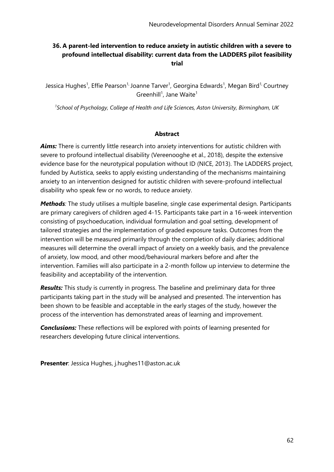# **36. A parent-led intervention to reduce anxiety in autistic children with a severe to profound intellectual disability: current data from the LADDERS pilot feasibility trial**

Jessica Hughes<sup>1</sup>, Effie Pearson<sup>1,</sup> Joanne Tarver<sup>1</sup>, Georgina Edwards<sup>1</sup>, Megan Bird<sup>1,</sup> Courtney Greenhill<sup>1</sup>, Jane Waite<sup>1</sup>

*<sup>1</sup>School of Psychology, College of Health and Life Sciences, Aston University, Birmingham, UK*

### **Abstract**

**Aims:** There is currently little research into anxiety interventions for autistic children with severe to profound intellectual disability (Vereenooghe et al., 2018), despite the extensive evidence base for the neurotypical population without ID (NICE, 2013). The LADDERS project, funded by Autistica, seeks to apply existing understanding of the mechanisms maintaining anxiety to an intervention designed for autistic children with severe-profound intellectual disability who speak few or no words, to reduce anxiety.

*Methods*: The study utilises a multiple baseline, single case experimental design. Participants are primary caregivers of children aged 4-15. Participants take part in a 16-week intervention consisting of psychoeducation, individual formulation and goal setting, development of tailored strategies and the implementation of graded exposure tasks. Outcomes from the intervention will be measured primarily through the completion of daily diaries; additional measures will determine the overall impact of anxiety on a weekly basis, and the prevalence of anxiety, low mood, and other mood/behavioural markers before and after the intervention. Families will also participate in a 2-month follow up interview to determine the feasibility and acceptability of the intervention.

*Results:* This study is currently in progress. The baseline and preliminary data for three participants taking part in the study will be analysed and presented. The intervention has been shown to be feasible and acceptable in the early stages of the study, however the process of the intervention has demonstrated areas of learning and improvement.

*Conclusions:* These reflections will be explored with points of learning presented for researchers developing future clinical interventions.

**Presenter**: Jessica Hughes, j.hughes11@aston.ac.uk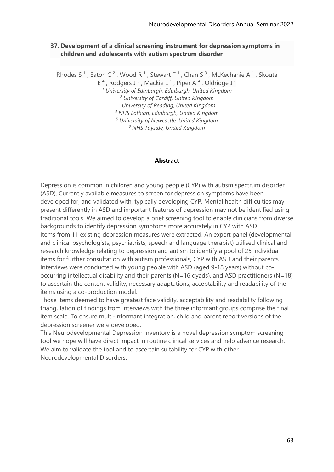### **37. Development of a clinical screening instrument for depression symptoms in children and adolescents with autism spectrum disorder**

Rhodes S<sup>1</sup>, Eaton C<sup>2</sup>, Wood R<sup>1</sup>, Stewart T<sup>1</sup>, Chan S<sup>3</sup>, McKechanie A<sup>1</sup>, Skouta E<sup>4</sup>, Rodgers J<sup>5</sup>, Mackie L<sup>1</sup>, Piper A<sup>4</sup>, Oldridge J<sup>6</sup> *University of Edinburgh, Edinburgh, United Kingdom University of Cardiff, United Kingdom University of Reading, United Kingdom NHS Lothian, Edinburgh, United Kingdom University of Newcastle, United Kingdom NHS Tayside, United Kingdom*

#### **Abstract**

Depression is common in children and young people (CYP) with autism spectrum disorder (ASD). Currently available measures to screen for depression symptoms have been developed for, and validated with, typically developing CYP. Mental health difficulties may present differently in ASD and important features of depression may not be identified using traditional tools. We aimed to develop a brief screening tool to enable clinicians from diverse backgrounds to identify depression symptoms more accurately in CYP with ASD. Items from 11 existing depression measures were extracted. An expert panel (developmental and clinical psychologists, psychiatrists, speech and language therapist) utilised clinical and research knowledge relating to depression and autism to identify a pool of 25 individual items for further consultation with autism professionals, CYP with ASD and their parents. Interviews were conducted with young people with ASD (aged 9-18 years) without cooccurring intellectual disability and their parents (N=16 dyads), and ASD practitioners (N=18) to ascertain the content validity, necessary adaptations, acceptability and readability of the items using a co-production model.

Those items deemed to have greatest face validity, acceptability and readability following triangulation of findings from interviews with the three informant groups comprise the final item scale. To ensure multi-informant integration, child and parent report versions of the depression screener were developed.

This Neurodevelopmental Depression Inventory is a novel depression symptom screening tool we hope will have direct impact in routine clinical services and help advance research. We aim to validate the tool and to ascertain suitability for CYP with other Neurodevelopmental Disorders.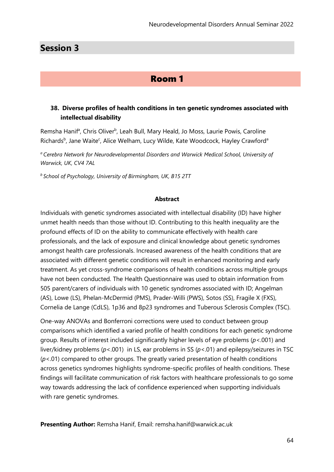# **Session 3**

# Room 1

## **38. Diverse profiles of health conditions in ten genetic syndromes associated with intellectual disability**

Remsha Hanif<sup>a</sup>, Chris Oliver<sup>b</sup>, Leah Bull, Mary Heald, Jo Moss, Laurie Powis, Caroline Richards<sup>b</sup>, Jane Waite<sup>c</sup>, Alice Welham, Lucy Wilde, Kate Woodcock, Hayley Crawford<sup>a</sup>

*<sup>a</sup>Cerebra Network for Neurodevelopmental Disorders and Warwick Medical School, University of Warwick, UK, CV4 7AL*

*<sup>b</sup>School of Psychology, University of Birmingham, UK, B15 2TT*

#### **Abstract**

Individuals with genetic syndromes associated with intellectual disability (ID) have higher unmet health needs than those without ID. Contributing to this health inequality are the profound effects of ID on the ability to communicate effectively with health care professionals, and the lack of exposure and clinical knowledge about genetic syndromes amongst health care professionals. Increased awareness of the health conditions that are associated with different genetic conditions will result in enhanced monitoring and early treatment. As yet cross-syndrome comparisons of health conditions across multiple groups have not been conducted. The Health Questionnaire was used to obtain information from 505 parent/carers of individuals with 10 genetic syndromes associated with ID; Angelman (AS), Lowe (LS), Phelan-McDermid (PMS), Prader-Willi (PWS), Sotos (SS), Fragile X (FXS), Cornelia de Lange (CdLS), 1p36 and 8p23 syndromes and Tuberous Sclerosis Complex (TSC).

One-way ANOVAs and Bonferroni corrections were used to conduct between group comparisons which identified a varied profile of health conditions for each genetic syndrome group. Results of interest included significantly higher levels of eye problems (*p*<.001) and liver/kidney problems (*p*<.001) in LS, ear problems in SS (*p*<.01) and epilepsy/seizures in TSC (*p*<.01) compared to other groups. The greatly varied presentation of health conditions across genetics syndromes highlights syndrome-specific profiles of health conditions. These findings will facilitate communication of risk factors with healthcare professionals to go some way towards addressing the lack of confidence experienced when supporting individuals with rare genetic syndromes.

**Presenting Author:** Remsha Hanif, Email: remsha.hanif@warwick.ac.uk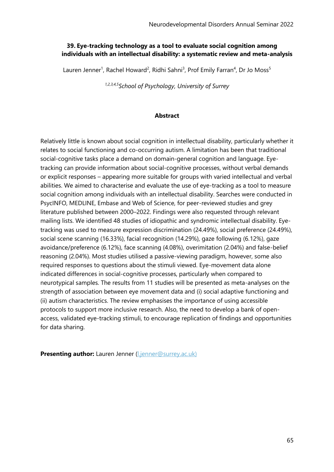### **39. Eye-tracking technology as a tool to evaluate social cognition among individuals with an intellectual disability: a systematic review and meta-analysis**

Lauren Jenner<sup>1</sup>, Rachel Howard<sup>2</sup>, Ridhi Sahni<sup>3</sup>, Prof Emily Farran<sup>4</sup>, Dr Jo Moss<sup>5</sup>

*1,2,3,4,5School of Psychology, University of Surrey*

#### **Abstract**

Relatively little is known about social cognition in intellectual disability, particularly whether it relates to social functioning and co-occurring autism. A limitation has been that traditional social-cognitive tasks place a demand on domain-general cognition and language. Eyetracking can provide information about social-cognitive processes, without verbal demands or explicit responses – appearing more suitable for groups with varied intellectual and verbal abilities. We aimed to characterise and evaluate the use of eye-tracking as a tool to measure social cognition among individuals with an intellectual disability. Searches were conducted in PsycINFO, MEDLINE, Embase and Web of Science, for peer-reviewed studies and grey literature published between 2000–2022. Findings were also requested through relevant mailing lists. We identified 48 studies of idiopathic and syndromic intellectual disability. Eyetracking was used to measure expression discrimination (24.49%), social preference (24.49%), social scene scanning (16.33%), facial recognition (14.29%), gaze following (6.12%), gaze avoidance/preference (6.12%), face scanning (4.08%), overimitation (2.04%) and false-belief reasoning (2.04%). Most studies utilised a passive-viewing paradigm, however, some also required responses to questions about the stimuli viewed. Eye-movement data alone indicated differences in social-cognitive processes, particularly when compared to neurotypical samples. The results from 11 studies will be presented as meta-analyses on the strength of association between eye movement data and (i) social adaptive functioning and (ii) autism characteristics. The review emphasises the importance of using accessible protocols to support more inclusive research. Also, the need to develop a bank of openaccess, validated eye-tracking stimuli, to encourage replication of findings and opportunities for data sharing.

**Presenting author:** Lauren Jenner (Lienner@surrey.ac.uk)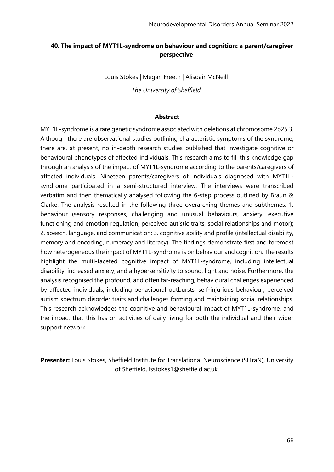# **40. The impact of MYT1L-syndrome on behaviour and cognition: a parent/caregiver perspective**

Louis Stokes | Megan Freeth | Alisdair McNeill

*The University of Sheffield*

#### **Abstract**

MYT1L-syndrome is a rare genetic syndrome associated with deletions at chromosome 2p25.3. Although there are observational studies outlining characteristic symptoms of the syndrome, there are, at present, no in-depth research studies published that investigate cognitive or behavioural phenotypes of affected individuals. This research aims to fill this knowledge gap through an analysis of the impact of MYT1L-syndrome according to the parents/caregivers of affected individuals. Nineteen parents/caregivers of individuals diagnosed with MYT1Lsyndrome participated in a semi-structured interview. The interviews were transcribed verbatim and then thematically analysed following the 6-step process outlined by Braun & Clarke. The analysis resulted in the following three overarching themes and subthemes: 1. behaviour (sensory responses, challenging and unusual behaviours, anxiety, executive functioning and emotion regulation, perceived autistic traits, social relationships and motor); 2. speech, language, and communication; 3. cognitive ability and profile (intellectual disability, memory and encoding, numeracy and literacy). The findings demonstrate first and foremost how heterogeneous the impact of MYT1L-syndrome is on behaviour and cognition. The results highlight the multi-faceted cognitive impact of MYT1L-syndrome, including intellectual disability, increased anxiety, and a hypersensitivity to sound, light and noise. Furthermore, the analysis recognised the profound, and often far-reaching, behavioural challenges experienced by affected individuals, including behavioural outbursts, self-injurious behaviour, perceived autism spectrum disorder traits and challenges forming and maintaining social relationships. This research acknowledges the cognitive and behavioural impact of MYT1L-syndrome, and the impact that this has on activities of daily living for both the individual and their wider support network.

**Presenter:** Louis Stokes, Sheffield Institute for Translational Neuroscience (SITraN), University of Sheffield, lsstokes1@sheffield.ac.uk.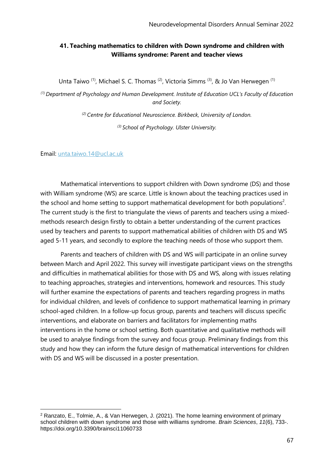## **41. Teaching mathematics to children with Down syndrome and children with Williams syndrome: Parent and teacher views**

Unta Taiwo<sup>(1)</sup>, Michael S. C. Thomas<sup>(2)</sup>, Victoria Simms<sup>(3)</sup>, & Jo Van Herwegen<sup>(1)</sup>

*(1) Department of Psychology and Human Development. Institute of Education UCL's Faculty of Education and Society.*

*(2) Centre for Educational Neuroscience. Birkbeck, University of London.*

*(3) School of Psychology. Ulster University.*

Email: [unta.taiwo.14@ucl.ac.uk](mailto:unta.taiwo.14@ucl.ac.uk)

Mathematical interventions to support children with Down syndrome (DS) and those with William syndrome (WS) are scarce. Little is known about the teaching practices used in the school and home setting to support mathematical development for both populations<sup>2</sup>. The current study is the first to triangulate the views of parents and teachers using a mixedmethods research design firstly to obtain a better understanding of the current practices used by teachers and parents to support mathematical abilities of children with DS and WS aged 5-11 years, and secondly to explore the teaching needs of those who support them.

Parents and teachers of children with DS and WS will participate in an online survey between March and April 2022. This survey will investigate participant views on the strengths and difficulties in mathematical abilities for those with DS and WS, along with issues relating to teaching approaches, strategies and interventions, homework and resources. This study will further examine the expectations of parents and teachers regarding progress in maths for individual children, and levels of confidence to support mathematical learning in primary school-aged children. In a follow-up focus group, parents and teachers will discuss specific interventions, and elaborate on barriers and facilitators for implementing maths interventions in the home or school setting. Both quantitative and qualitative methods will be used to analyse findings from the survey and focus group. Preliminary findings from this study and how they can inform the future design of mathematical interventions for children with DS and WS will be discussed in a poster presentation.

<sup>2</sup> Ranzato, E., Tolmie, A., & Van Herwegen, J. (2021). The home learning environment of primary school children with down syndrome and those with williams syndrome. *Brain Sciences*, *11*(6), 733-. https://doi.org/10.3390/brainsci11060733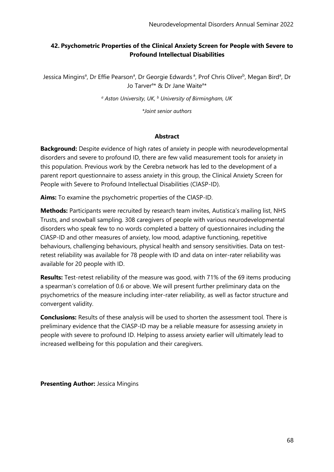# **42. Psychometric Properties of the Clinical Anxiety Screen for People with Severe to Profound Intellectual Disabilities**

Jessica Mingins<sup>a</sup>, Dr Effie Pearson<sup>a</sup>, Dr Georgie Edwards<sup>a</sup>, Prof Chris Oliver<sup>b</sup>, Megan Bird<sup>a</sup>, Dr Jo Tarver<sup>a\*</sup> & Dr Jane Waite<sup>a\*</sup>

*<sup>a</sup> Aston University, UK, <sup>b</sup> University of Birmingham, UK*

*\*Joint senior authors*

### **Abstract**

**Background:** Despite evidence of high rates of anxiety in people with neurodevelopmental disorders and severe to profound ID, there are few valid measurement tools for anxiety in this population. Previous work by the Cerebra network has led to the development of a parent report questionnaire to assess anxiety in this group, the Clinical Anxiety Screen for People with Severe to Profound Intellectual Disabilities (ClASP-ID).

**Aims:** To examine the psychometric properties of the ClASP-ID.

**Methods:** Participants were recruited by research team invites, Autistica's mailing list, NHS Trusts, and snowball sampling. 308 caregivers of people with various neurodevelopmental disorders who speak few to no words completed a battery of questionnaires including the ClASP-ID and other measures of anxiety, low mood, adaptive functioning, repetitive behaviours, challenging behaviours, physical health and sensory sensitivities. Data on testretest reliability was available for 78 people with ID and data on inter-rater reliability was available for 20 people with ID.

**Results:** Test-retest reliability of the measure was good, with 71% of the 69 items producing a spearman's correlation of 0.6 or above. We will present further preliminary data on the psychometrics of the measure including inter-rater reliability, as well as factor structure and convergent validity.

**Conclusions:** Results of these analysis will be used to shorten the assessment tool. There is preliminary evidence that the ClASP-ID may be a reliable measure for assessing anxiety in people with severe to profound ID. Helping to assess anxiety earlier will ultimately lead to increased wellbeing for this population and their caregivers.

**Presenting Author:** Jessica Mingins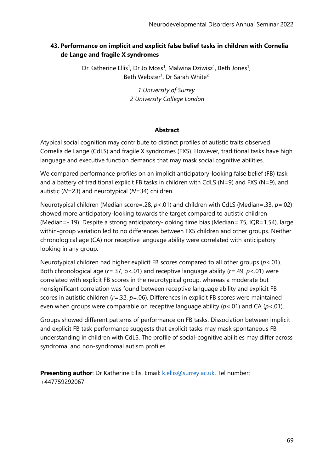# **43. Performance on implicit and explicit false belief tasks in children with Cornelia de Lange and fragile X syndromes**

Dr Katherine Ellis<sup>1</sup>, Dr Jo Moss<sup>1</sup>, Malwina Dziwisz<sup>1</sup>, Beth Jones<sup>1</sup>, Beth Webster<sup>1</sup>, Dr Sarah White<sup>2</sup>

> *1 University of Surrey 2 University College London*

### **Abstract**

Atypical social cognition may contribute to distinct profiles of autistic traits observed Cornelia de Lange (CdLS) and fragile X syndromes (FXS). However, traditional tasks have high language and executive function demands that may mask social cognitive abilities.

We compared performance profiles on an implicit anticipatory-looking false belief (FB) task and a battery of traditional explicit FB tasks in children with CdLS (N=9) and FXS (N=9), and autistic (*N*=23) and neurotypical (*N*=34) children.

Neurotypical children (Median score=.28, *p*<.01) and children with CdLS (Median=.33, *p*=.02) showed more anticipatory-looking towards the target compared to autistic children (Median=-.19). Despite a strong anticipatory-looking time bias (Median=.75, IQR=1.54), large within-group variation led to no differences between FXS children and other groups. Neither chronological age (CA) nor receptive language ability were correlated with anticipatory looking in any group.

Neurotypical children had higher explicit FB scores compared to all other groups (*p*<.01). Both chronological age (*r*=.37, p<.01) and receptive language ability (*r*=.49, *p*<.01) were correlated with explicit FB scores in the neurotypical group, whereas a moderate but nonsignificant correlation was found between receptive language ability and explicit FB scores in autistic children (*r*=.32, *p*=.06). Differences in explicit FB scores were maintained even when groups were comparable on receptive language ability (*p*<.01) and CA (*p*<.01).

Groups showed different patterns of performance on FB tasks. Dissociation between implicit and explicit FB task performance suggests that explicit tasks may mask spontaneous FB understanding in children with CdLS. The profile of social-cognitive abilities may differ across syndromal and non-syndromal autism profiles.

**Presenting author**: Dr Katherine Ellis. Email: k.ellis@surrey.ac.uk. Tel number: +447759292067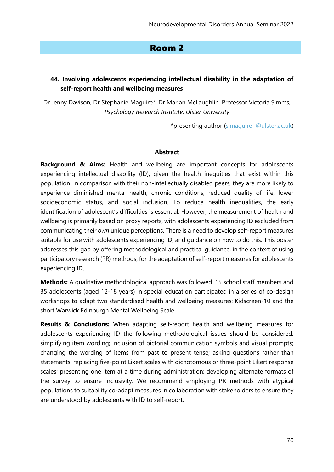# Room 2

# **44. Involving adolescents experiencing intellectual disability in the adaptation of self-report health and wellbeing measures**

Dr Jenny Davison, Dr Stephanie Maguire\*, Dr Marian McLaughlin, Professor Victoria Simms, *Psychology Research Institute, Ulster University*

\*presenting author [\(s.maguire1@ulster.ac.uk\)](mailto:s.maguire1@ulster.ac.uk)

#### **Abstract**

**Background & Aims:** Health and wellbeing are important concepts for adolescents experiencing intellectual disability (ID), given the health inequities that exist within this population. In comparison with their non-intellectually disabled peers, they are more likely to experience diminished mental health, chronic conditions, reduced quality of life, lower socioeconomic status, and social inclusion. To reduce health inequalities, the early identification of adolescent's difficulties is essential. However, the measurement of health and wellbeing is primarily based on proxy reports, with adolescents experiencing ID excluded from communicating their *own* unique perceptions. There is a need to develop self-report measures suitable for use with adolescents experiencing ID, and guidance on how to do this. This poster addresses this gap by offering methodological and practical guidance, in the context of using participatory research (PR) methods, for the adaptation of self-report measures for adolescents experiencing ID.

**Methods:** A qualitative methodological approach was followed. 15 school staff members and 35 adolescents (aged 12-18 years) in special education participated in a series of co-design workshops to adapt two standardised health and wellbeing measures: Kidscreen-10 and the short Warwick Edinburgh Mental Wellbeing Scale.

**Results & Conclusions:** When adapting self-report health and wellbeing measures for adolescents experiencing ID the following methodological issues should be considered: simplifying item wording; inclusion of pictorial communication symbols and visual prompts; changing the wording of items from past to present tense; asking questions rather than statements; replacing five-point Likert scales with dichotomous or three-point Likert response scales; presenting one item at a time during administration; developing alternate formats of the survey to ensure inclusivity. We recommend employing PR methods with atypical populations to suitability co-adapt measures in collaboration with stakeholders to ensure they are understood by adolescents with ID to self-report.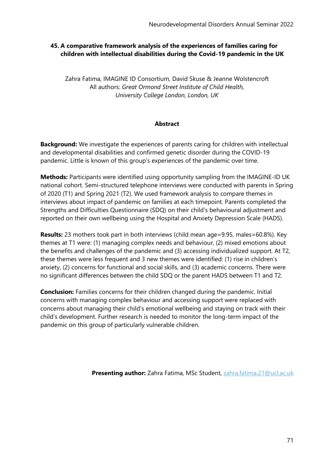# **45. A comparative framework analysis of the experiences of families caring for children with intellectual disabilities during the Covid-19 pandemic in the UK**

Zahra Fatima, IMAGINE ID Consortium, David Skuse & Jeanne Wolstencroft All authors: *Great Ormond Street Institute of Child Health, University College London, London, UK*

### **Abstract**

**Background:** We investigate the experiences of parents caring for children with intellectual and developmental disabilities and confirmed genetic disorder during the COVID-19 pandemic. Little is known of this group's experiences of the pandemic over time.

**Methods:** Participants were identified using opportunity sampling from the IMAGINE-ID UK national cohort. Semi-structured telephone interviews were conducted with parents in Spring of 2020 (T1) and Spring 2021 (T2). We used framework analysis to compare themes in interviews about impact of pandemic on families at each timepoint. Parents completed the Strengths and Difficulties Questionnaire (SDQ) on their child's behavioural adjustment and reported on their own wellbeing using the Hospital and Anxiety Depression Scale (HADS).

**Results:** 23 mothers took part in both interviews (child mean age=9.95, males=60.8%). Key themes at T1 were: (1) managing complex needs and behaviour, (2) mixed emotions about the benefits and challenges of the pandemic and (3) accessing individualized support. At T2, these themes were less frequent and 3 new themes were identified: (1) rise in children's anxiety, (2) concerns for functional and social skills, and (3) academic concerns. There were no significant differences between the child SDQ or the parent HADS between T1 and T2.

**Conclusion:** Families concerns for their children changed during the pandemic. Initial concerns with managing complex behaviour and accessing support were replaced with concerns about managing their child's emotional wellbeing and staying on track with their child's development. Further research is needed to monitor the long-term impact of the pandemic on this group of particularly vulnerable children.

**Presenting author:** Zahra Fatima, MSc Student, [zahra.fatima.21@ucl.ac.uk](mailto:zahra.fatima.21@ucl.ac.uk)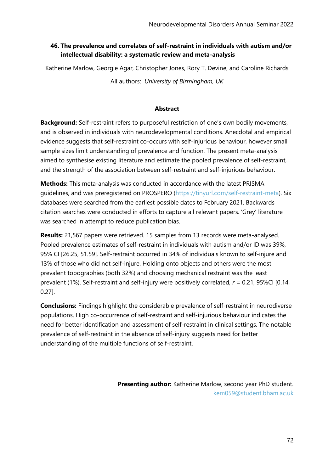# **46. The prevalence and correlates of self-restraint in individuals with autism and/or intellectual disability: a systematic review and meta-analysis**

Katherine Marlow, Georgie Agar, Christopher Jones, Rory T. Devine, and Caroline Richards

All authors: *University of Birmingham, UK*

#### **Abstract**

**Background:** Self-restraint refers to purposeful restriction of one's own bodily movements, and is observed in individuals with neurodevelopmental conditions. Anecdotal and empirical evidence suggests that self-restraint co-occurs with self-injurious behaviour, however small sample sizes limit understanding of prevalence and function. The present meta-analysis aimed to synthesise existing literature and estimate the pooled prevalence of self-restraint, and the strength of the association between self-restraint and self-injurious behaviour.

**Methods:** This meta-analysis was conducted in accordance with the latest PRISMA guidelines, and was preregistered on PROSPERO [\(https://tinyurl.com/self-restraint-meta\)](https://tinyurl.com/self-restraint-meta). Six databases were searched from the earliest possible dates to February 2021. Backwards citation searches were conducted in efforts to capture all relevant papers. 'Grey' literature was searched in attempt to reduce publication bias.

**Results:** 21,567 papers were retrieved. 15 samples from 13 records were meta-analysed. Pooled prevalence estimates of self-restraint in individuals with autism and/or ID was 39%, 95% CI [26.25, 51.59]. Self-restraint occurred in 34% of individuals known to self-injure and 13% of those who did not self-injure. Holding onto objects and others were the most prevalent topographies (both 32%) and choosing mechanical restraint was the least prevalent (1%). Self-restraint and self-injury were positively correlated, *r* = 0.21, 95%CI [0.14, 0.27].

**Conclusions:** Findings highlight the considerable prevalence of self-restraint in neurodiverse populations. High co-occurrence of self-restraint and self-injurious behaviour indicates the need for better identification and assessment of self-restraint in clinical settings. The notable prevalence of self-restraint in the absence of self-injury suggests need for better understanding of the multiple functions of self-restraint.

> **Presenting author:** Katherine Marlow, second year PhD student. [kem059@student.bham.ac.uk](mailto:kem059@student.bham.ac.uk)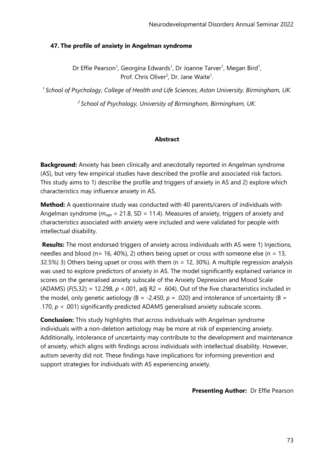## **47. The profile of anxiety in Angelman syndrome**

Dr Effie Pearson<sup>1</sup>, Georgina Edwards<sup>1</sup>, Dr Joanne Tarver<sup>1</sup>, Megan Bird<sup>1</sup>, Prof. Chris Oliver<sup>2</sup>, Dr. Jane Waite<sup>1</sup>.

*<sup>1</sup>School of Psychology, College of Health and Life Sciences, Aston University, Birmingham, UK.*

*<sup>2</sup>School of Psychology, University of Birmingham, Birmingham, UK.*

# **Abstract**

**Background:** Anxiety has been clinically and anecdotally reported in Angelman syndrome (AS), but very few empirical studies have described the profile and associated risk factors. This study aims to 1) describe the profile and triggers of anxiety in AS and 2) explore which characteristics may influence anxiety in AS.

**Method:** A questionnaire study was conducted with 40 parents/carers of individuals with Angelman syndrome (*mage* = 21.8, SD = 11.4). Measures of anxiety, triggers of anxiety and characteristics associated with anxiety were included and were validated for people with intellectual disability.

**Results:** The most endorsed triggers of anxiety across individuals with AS were 1) Injections, needles and blood (n= 16, 40%), 2) others being upset or cross with someone else (n = 13, 32.5%) 3) Others being upset or cross with them ( $n = 12$ , 30%). A multiple regression analysis was used to explore predictors of anxiety in AS. The model significantly explained variance in scores on the generalised anxiety subscale of the Anxiety Depression and Mood Scale (ADAMS) (*F*(5,32) = 12.298, *p* <.001, adj R2 = .604). Out of the five characteristics included in the model, only genetic aetiology ( $B = -2.450$ ,  $p = .020$ ) and intolerance of uncertainty ( $B =$ .170, *p* < .001) significantly predicted ADAMS generalised anxiety subscale scores.

**Conclusion:** This study highlights that across individuals with Angelman syndrome individuals with a non-deletion aetiology may be more at risk of experiencing anxiety. Additionally, intolerance of uncertainty may contribute to the development and maintenance of anxiety, which aligns with findings across individuals with intellectual disability. However, autism severity did not. These findings have implications for informing prevention and support strategies for individuals with AS experiencing anxiety.

**Presenting Author:** Dr Effie Pearson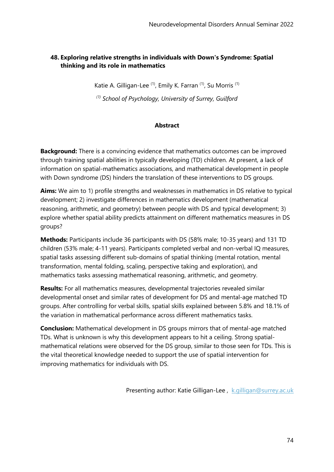# **48. Exploring relative strengths in individuals with Down's Syndrome: Spatial thinking and its role in mathematics**

Katie A. Gilligan-Lee<sup>(1)</sup>, Emily K. Farran<sup>(1)</sup>, Su Morris<sup>(1)</sup>

*(1) School of Psychology, University of Surrey, Guilford*

#### **Abstract**

**Background:** There is a convincing evidence that mathematics outcomes can be improved through training spatial abilities in typically developing (TD) children. At present, a lack of information on spatial-mathematics associations, and mathematical development in people with Down syndrome (DS) hinders the translation of these interventions to DS groups.

**Aims:** We aim to 1) profile strengths and weaknesses in mathematics in DS relative to typical development; 2) investigate differences in mathematics development (mathematical reasoning, arithmetic, and geometry) between people with DS and typical development; 3) explore whether spatial ability predicts attainment on different mathematics measures in DS groups?

**Methods:** Participants include 36 participants with DS (58% male; 10-35 years) and 131 TD children (53% male; 4-11 years). Participants completed verbal and non-verbal IQ measures, spatial tasks assessing different sub-domains of spatial thinking (mental rotation, mental transformation, mental folding, scaling, perspective taking and exploration), and mathematics tasks assessing mathematical reasoning, arithmetic, and geometry.

**Results:** For all mathematics measures, developmental trajectories revealed similar developmental onset and similar rates of development for DS and mental-age matched TD groups. After controlling for verbal skills, spatial skills explained between 5.8% and 18.1% of the variation in mathematical performance across different mathematics tasks.

**Conclusion:** Mathematical development in DS groups mirrors that of mental-age matched TDs. What is unknown is why this development appears to hit a ceiling. Strong spatialmathematical relations were observed for the DS group, similar to those seen for TDs. This is the vital theoretical knowledge needed to support the use of spatial intervention for improving mathematics for individuals with DS.

Presenting author: Katie Gilligan-Lee, [k.gilligan@surrey.ac.uk](mailto:k.gilligan@surrey.ac.uk)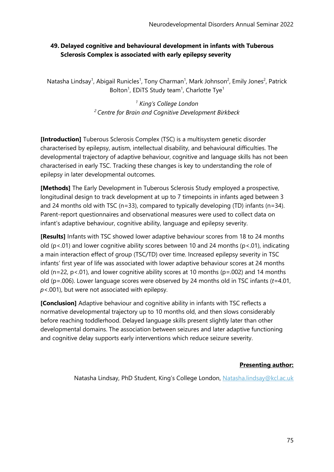# **49. Delayed cognitive and behavioural development in infants with Tuberous Sclerosis Complex is associated with early epilepsy severity**

Natasha Lindsay<sup>1</sup>, Abigail Runicles<sup>1</sup>, Tony Charman<sup>1</sup>, Mark Johnson<sup>2</sup>, Emily Jones<sup>2</sup>, Patrick Bolton<sup>1</sup>, EDiTS Study team<sup>1</sup>, Charlotte Tye<sup>1</sup>

> *<sup>1</sup> King's College London <sup>2</sup>Centre for Brain and Cognitive Development Birkbeck*

**[Introduction]** Tuberous Sclerosis Complex (TSC) is a multisystem genetic disorder characterised by epilepsy, autism, intellectual disability, and behavioural difficulties. The developmental trajectory of adaptive behaviour, cognitive and language skills has not been characterised in early TSC. Tracking these changes is key to understanding the role of epilepsy in later developmental outcomes.

**[Methods]** The Early Development in Tuberous Sclerosis Study employed a prospective, longitudinal design to track development at up to 7 timepoints in infants aged between 3 and 24 months old with TSC (n=33), compared to typically developing (TD) infants (n=34). Parent-report questionnaires and observational measures were used to collect data on infant's adaptive behaviour, cognitive ability, language and epilepsy severity.

**[Results]** Infants with TSC showed lower adaptive behaviour scores from 18 to 24 months old ( $p$ <.01) and lower cognitive ability scores between 10 and 24 months ( $p$ <.01), indicating a main interaction effect of group (TSC/TD) over time. Increased epilepsy severity in TSC infants' first year of life was associated with lower adaptive behaviour scores at 24 months old (n=22, p<.01), and lower cognitive ability scores at 10 months (p=.002) and 14 months old (p=.006). Lower language scores were observed by 24 months old in TSC infants (*t=*4.01, *p*<.001), but were not associated with epilepsy.

**[Conclusion]** Adaptive behaviour and cognitive ability in infants with TSC reflects a normative developmental trajectory up to 10 months old, and then slows considerably before reaching toddlerhood. Delayed language skills present slightly later than other developmental domains. The association between seizures and later adaptive functioning and cognitive delay supports early interventions which reduce seizure severity.

#### **Presenting author:**

Natasha Lindsay, PhD Student, King's College London, [Natasha.lindsay@kcl.ac.uk](mailto:Natasha.lindsay@kcl.ac.uk)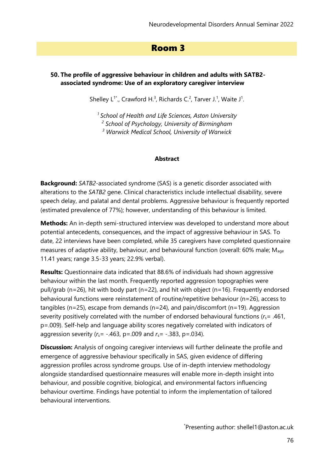# Room 3

## **50. The profile of aggressive behaviour in children and adults with SATB2 associated syndrome: Use of an exploratory caregiver interview**

Shelley  $L^{1*}$ ., Crawford H.<sup>3</sup>, Richards C.<sup>2</sup>, Tarver J.<sup>1</sup>, Waite J<sup>1</sup>.

*<sup>1</sup>School of Health and Life Sciences, Aston University 2 School of Psychology, University of Birmingham <sup>3</sup> Warwick Medical School, University of Warwick*

#### **Abstract**

**Background:** *SATB2*-associated syndrome (SAS) is a genetic disorder associated with alterations to the *SATB2* gene. Clinical characteristics include intellectual disability, severe speech delay, and palatal and dental problems. Aggressive behaviour is frequently reported (estimated prevalence of 77%); however, understanding of this behaviour is limited.

**Methods:** An in-depth semi-structured interview was developed to understand more about potential antecedents, consequences, and the impact of aggressive behaviour in SAS. To date, 22 interviews have been completed, while 35 caregivers have completed questionnaire measures of adaptive ability, behaviour, and behavioural function (overall: 60% male;  $M_{\text{a}q}$ 11.41 years; range 3.5-33 years; 22.9% verbal).

**Results:** Questionnaire data indicated that 88.6% of individuals had shown aggressive behaviour within the last month. Frequently reported aggression topographies were pull/grab (n=26), hit with body part (n=22), and hit with object (n=16). Frequently endorsed behavioural functions were reinstatement of routine/repetitive behaviour (n=26), access to tangibles (n=25), escape from demands (n=24), and pain/discomfort (n=19). Aggression severity positively correlated with the number of endorsed behavioural functions (*r*s= .461, p=.009). Self-help and language ability scores negatively correlated with indicators of aggression severity (*r*s= -.463, p=.009 and *r*s= -.383, p=.034).

**Discussion:** Analysis of ongoing caregiver interviews will further delineate the profile and emergence of aggressive behaviour specifically in SAS, given evidence of differing aggression profiles across syndrome groups. Use of in-depth interview methodology alongside standardised questionnaire measures will enable more in-depth insight into behaviour, and possible cognitive, biological, and environmental factors influencing behaviour overtime. Findings have potential to inform the implementation of tailored behavioural interventions.

\*Presenting author: shellel1@aston.ac.uk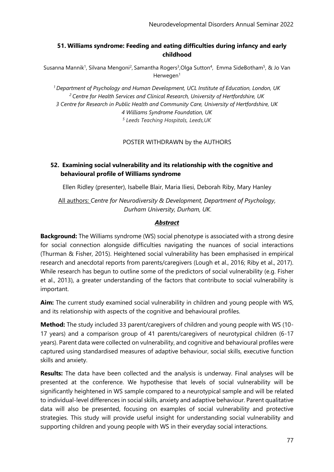# **51. Williams syndrome: Feeding and eating difficulties during infancy and early childhood**

Susanna Mannik<sup>1</sup>, Silvana Mengoni<sup>2</sup>, Samantha Rogers<sup>3</sup>,Olga Sutton<sup>4</sup>, Emma SideBotham<sup>5</sup>, & Jo Van  $H$ erwegen $1$ 

*<sup>1</sup>Department of Psychology and Human Development, UCL Institute of Education, London, UK <sup>2</sup>Centre for Health Services and Clinical Research, University of Hertfordshire, UK 3 Centre for Research in Public Health and Community Care, University of Hertfordshire, UK 4 Williams Syndrome Foundation, UK 5 Leeds Teaching Hospitals, Leeds,UK*

POSTER WITHDRAWN by the AUTHORS

# **52. Examining social vulnerability and its relationship with the cognitive and behavioural profile of Williams syndrome**

Ellen Ridley (presenter), Isabelle Blair, Maria Iliesi, Deborah Riby, Mary Hanley

All authors: *Centre for Neurodiversity & Development, Department of Psychology, Durham University, Durham, UK.*

#### *Abstract*

**Background:** The Williams syndrome (WS) social phenotype is associated with a strong desire for social connection alongside difficulties navigating the nuances of social interactions (Thurman & Fisher, 2015). Heightened social vulnerability has been emphasised in empirical research and anecdotal reports from parents/caregivers (Lough et al., 2016; Riby et al., 2017). While research has begun to outline some of the predictors of social vulnerability (e.g. Fisher et al., 2013), a greater understanding of the factors that contribute to social vulnerability is important.

**Aim:** The current study examined social vulnerability in children and young people with WS, and its relationship with aspects of the cognitive and behavioural profiles.

**Method:** The study included 33 parent/caregivers of children and young people with WS (10- 17 years) and a comparison group of 41 parents/caregivers of neurotypical children (6-17 years). Parent data were collected on vulnerability, and cognitive and behavioural profiles were captured using standardised measures of adaptive behaviour, social skills, executive function skills and anxiety.

**Results:** The data have been collected and the analysis is underway. Final analyses will be presented at the conference. We hypothesise that levels of social vulnerability will be significantly heightened in WS sample compared to a neurotypical sample and will be related to individual-level differences in social skills, anxiety and adaptive behaviour. Parent qualitative data will also be presented, focusing on examples of social vulnerability and protective strategies. This study will provide useful insight for understanding social vulnerability and supporting children and young people with WS in their everyday social interactions.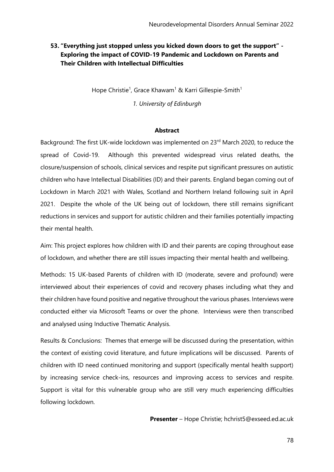# **53. "Everything just stopped unless you kicked down doors to get the support" - Exploring the impact of COVID-19 Pandemic and Lockdown on Parents and Their Children with Intellectual Difficulties**

Hope Christie<sup>1</sup>, Grace Khawam<sup>1</sup> & Karri Gillespie-Smith<sup>1</sup>

*1. University of Edinburgh*

#### **Abstract**

Background: The first UK-wide lockdown was implemented on 23<sup>rd</sup> March 2020, to reduce the spread of Covid-19. Although this prevented widespread virus related deaths, the closure/suspension of schools, clinical services and respite put significant pressures on autistic children who have Intellectual Disabilities (ID) and their parents. England began coming out of Lockdown in March 2021 with Wales, Scotland and Northern Ireland following suit in April 2021. Despite the whole of the UK being out of lockdown, there still remains significant reductions in services and support for autistic children and their families potentially impacting their mental health.

Aim: This project explores how children with ID and their parents are coping throughout ease of lockdown, and whether there are still issues impacting their mental health and wellbeing.

Methods: 15 UK-based Parents of children with ID (moderate, severe and profound) were interviewed about their experiences of covid and recovery phases including what they and their children have found positive and negative throughout the various phases. Interviews were conducted either via Microsoft Teams or over the phone. Interviews were then transcribed and analysed using Inductive Thematic Analysis.

Results & Conclusions: Themes that emerge will be discussed during the presentation, within the context of existing covid literature, and future implications will be discussed. Parents of children with ID need continued monitoring and support (specifically mental health support) by increasing service check-ins, resources and improving access to services and respite. Support is vital for this vulnerable group who are still very much experiencing difficulties following lockdown.

**Presenter** – Hope Christie; hchrist5@exseed.ed.ac.uk